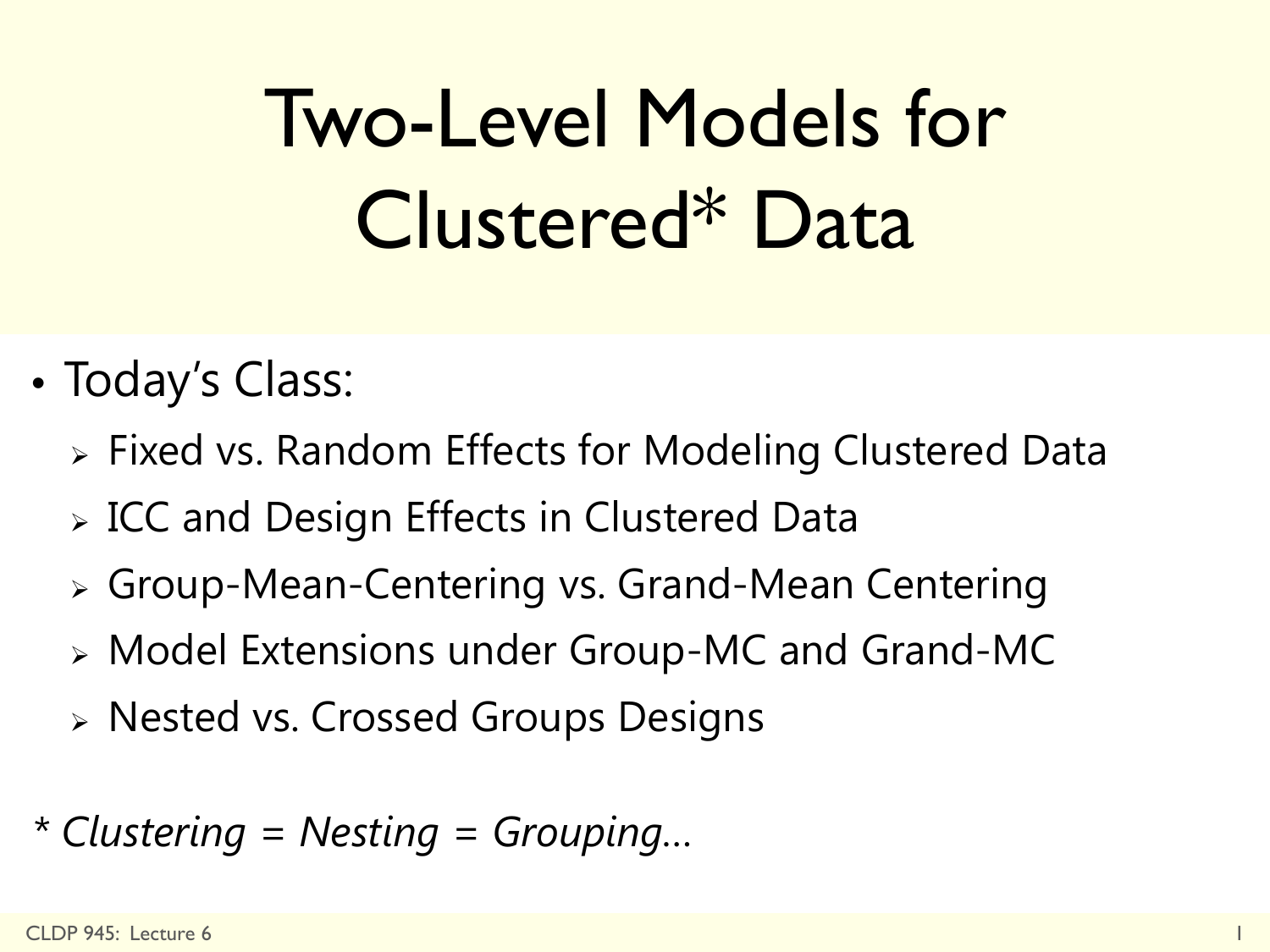# Two-Level Models for Clustered\* Data

- Today's Class:
	- Fixed vs. Random Effects for Modeling Clustered Data
	- **> ICC and Design Effects in Clustered Data**
	- Group-Mean-Centering vs. Grand-Mean Centering
	- Model Extensions under Group-MC and Grand-MC
	- Nested vs. Crossed Groups Designs
- *\* Clustering = Nesting = Grouping…*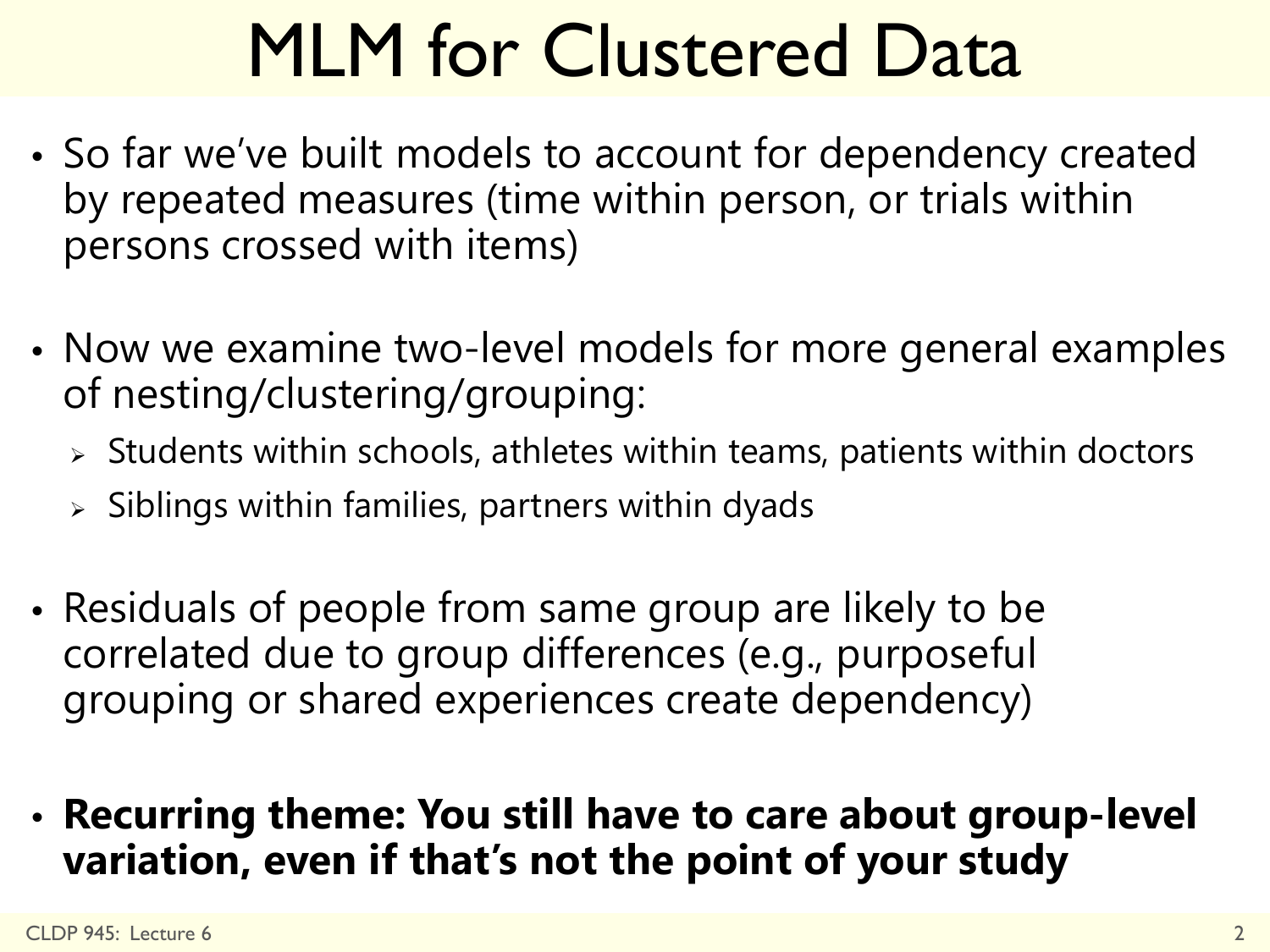# MLM for Clustered Data

- So far we've built models to account for dependency created by repeated measures (time within person, or trials within persons crossed with items)
- Now we examine two-level models for more general examples of nesting/clustering/grouping:
	- $\geq$  Students within schools, athletes within teams, patients within doctors
	- $>$  Siblings within families, partners within dyads
- Residuals of people from same group are likely to be correlated due to group differences (e.g., purposeful grouping or shared experiences create dependency)
- **Recurring theme: You still have to care about group-level variation, even if that's not the point of your study**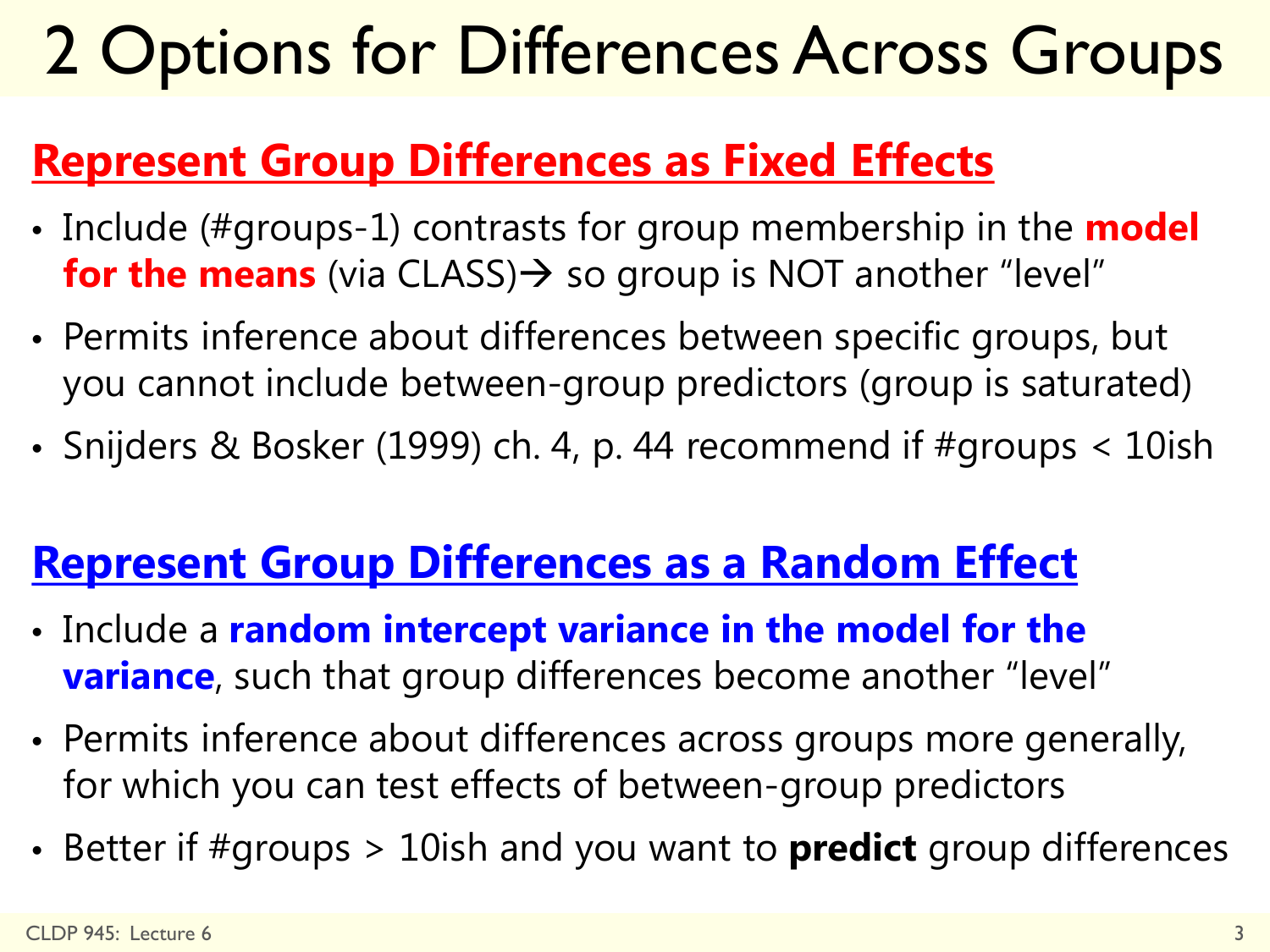## 2 Options for Differences Across Groups

#### **Represent Group Differences as Fixed Effects**

- Include (#groups-1) contrasts for group membership in the **model for the means** (via CLASS)  $\rightarrow$  so group is NOT another "level"
- Permits inference about differences between specific groups, but you cannot include between-group predictors (group is saturated)
- Snijders & Bosker (1999) ch. 4, p. 44 recommend if #groups < 10ish

#### **Represent Group Differences as a Random Effect**

- Include a **random intercept variance in the model for the variance**, such that group differences become another "level"
- Permits inference about differences across groups more generally, for which you can test effects of between-group predictors
- Better if #groups > 10ish and you want to **predict** group differences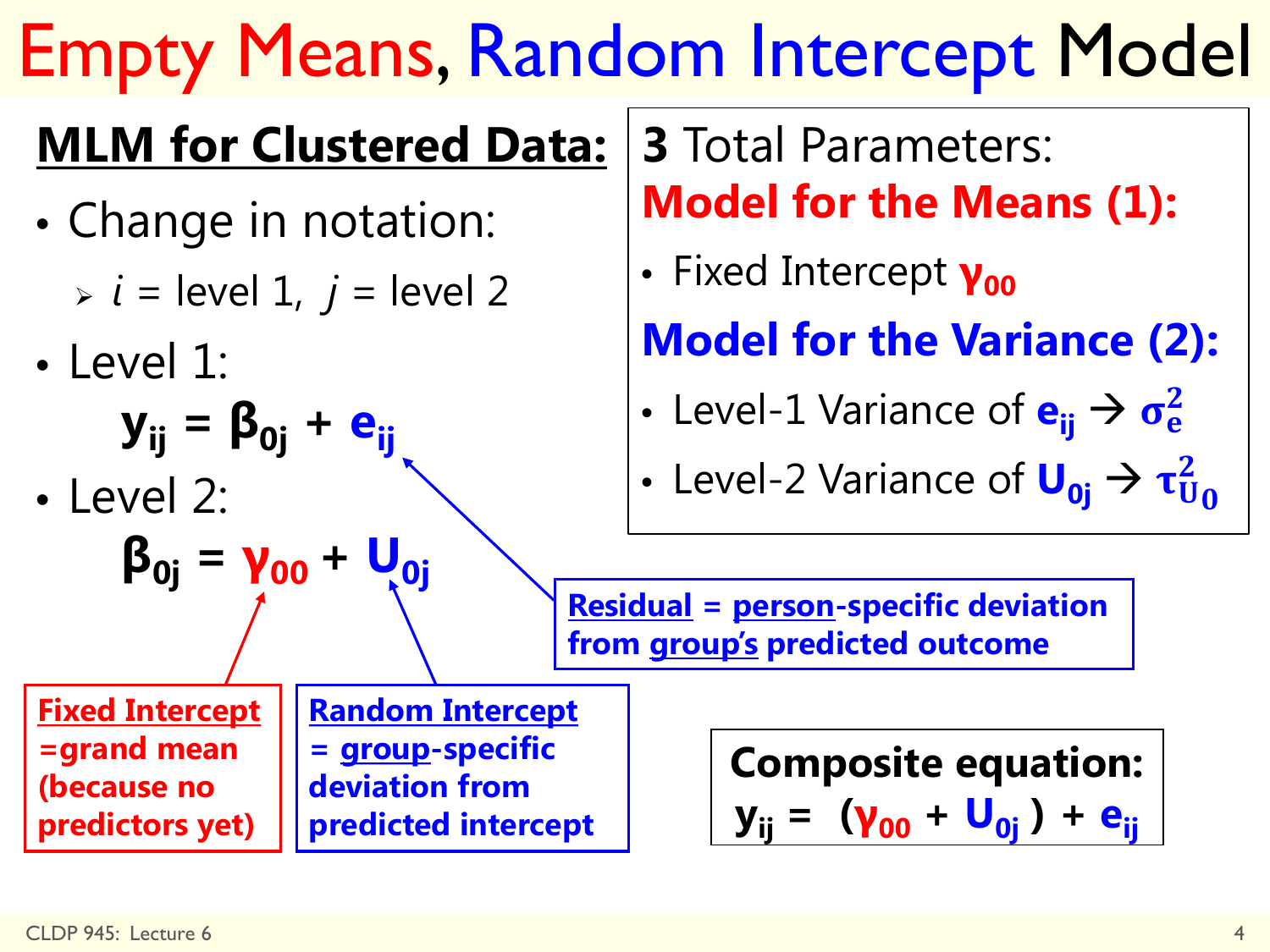# Empty Means, Random Intercept Model

### **MLM for Clustered Data:**

- Change in notation:
	- $\Rightarrow i =$  level 1,  $j =$  level 2
- Level 1:
	- $y_{ij} = \beta_{0j} + e_{ij}$
- Level 2:

$$
\beta_{0j} = \gamma_{00} + U_{0j}
$$

**3** Total Parameters: **Model for the Means (1):** 

• Fixed Intercept **γ**<sub>00</sub>

**Model for the Variance (2):**

• Level-1 Variance of e<sub>ij</sub> → o<sup>2</sup><sub>e</sub>

• Level-2 Variance of 
$$
U_{0j} \rightarrow \tau_{U_0}^2
$$

**Residual = person-specific deviation from group's predicted outcome** 

**Fixed Intercept =grand mean (because no predictors yet)** 

**Random Intercept = group-specific deviation from predicted intercept**

**Composite equation: y**<sub>ii</sub> = (**γ**<sub>00</sub> + U<sub>0j</sub>) + e<sub>ij</sub>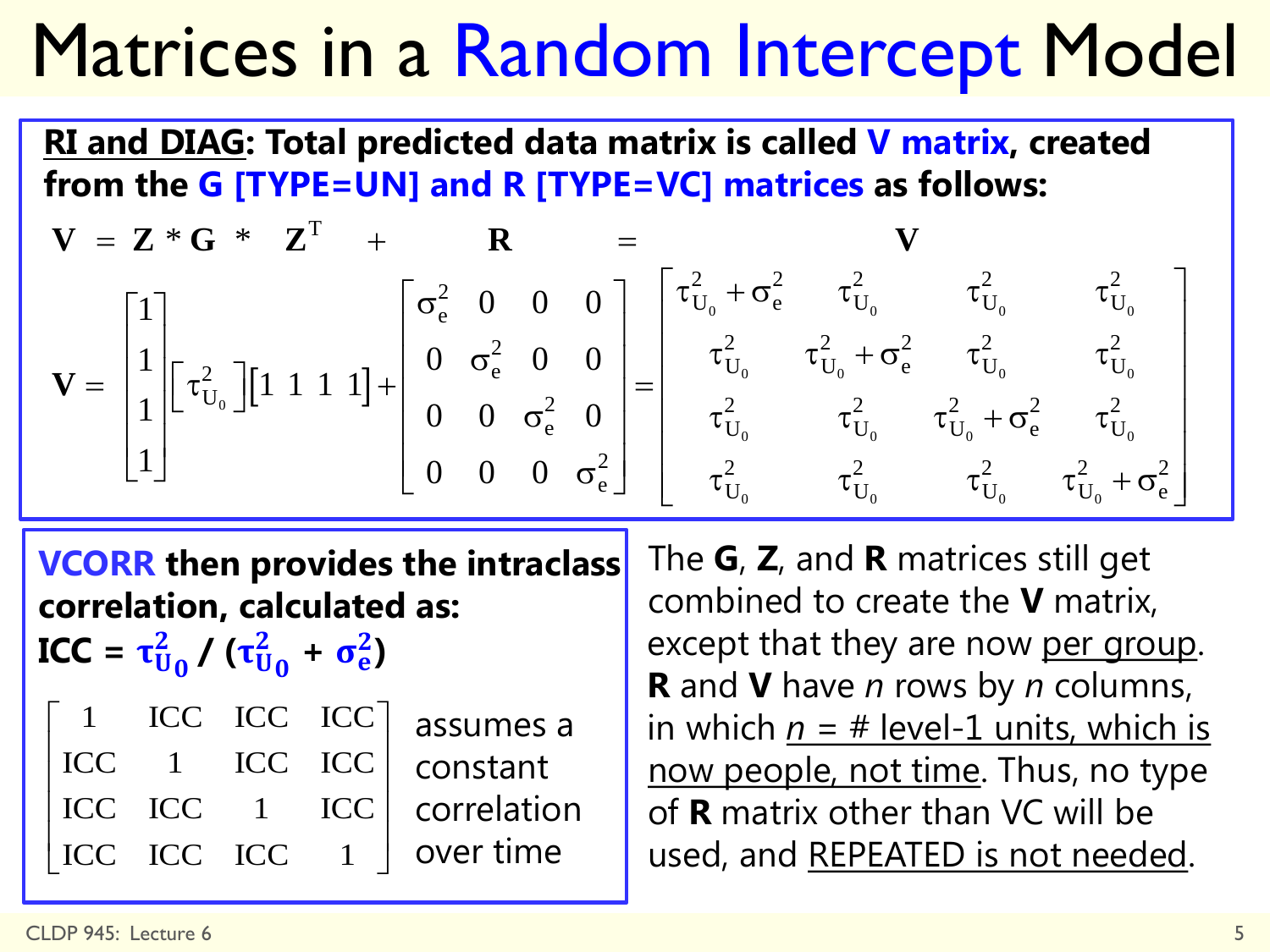## Matrices in a Random Intercept Model

**RI and DIAG: Total predicted data matrix is called V matrix, created from the G [TYPE=UN] and R [TYPE=VC] matrices as follows:**

| $V = Z * G * Z^{T} + R =$                                                                                                                                                                                                                                                                                                                                                                                              |  |  |
|------------------------------------------------------------------------------------------------------------------------------------------------------------------------------------------------------------------------------------------------------------------------------------------------------------------------------------------------------------------------------------------------------------------------|--|--|
| $\mathbf{V} = \begin{bmatrix} 1 \\ 1 \\ 1 \\ 1 \end{bmatrix} \begin{bmatrix} \tau_{U_0}^2 \end{bmatrix} \begin{bmatrix} 1 & 1 & 1 & 1 \end{bmatrix} + \begin{bmatrix} \sigma_{\rm e}^2 & 0 & 0 & 0 \\ 0 & \sigma_{\rm e}^2 & 0 & 0 \\ 0 & 0 & \sigma_{\rm e}^2 & 0 \\ 0 & 0 & 0 & \sigma_{\rm e}^2 \end{bmatrix} \begin{bmatrix} \tau_{U_0}^2 + \sigma_{\rm e}^2 & \tau_{U_0}^2 & \tau_{U_0}^2 & \tau_{U_0}^2 \\ \tau$ |  |  |
|                                                                                                                                                                                                                                                                                                                                                                                                                        |  |  |
|                                                                                                                                                                                                                                                                                                                                                                                                                        |  |  |
|                                                                                                                                                                                                                                                                                                                                                                                                                        |  |  |

**VCORR then provides the intraclass correlation, calculated as:** 

**ICC** =  $\tau_{U_0}^2 / (\tau_{U_0}^2 + \sigma_e^2)$ 

|  |  | $\begin{bmatrix} 1 & \text{ICC } \text{ICC } \text{ICC} \end{bmatrix}$ assumes a                    |
|--|--|-----------------------------------------------------------------------------------------------------|
|  |  | ICC 1 ICC ICC constant                                                                              |
|  |  | ICC ICC 1 ICC correlation                                                                           |
|  |  | $\begin{array}{ l c c c c c }\n\hline\n\text{ICC} & \text{ICC} & 1 & \text{over time}\n\end{array}$ |

The **G**, **Z**, and **R** matrices still get combined to create the **V** matrix, except that they are now per group. **R** and **V** have *n* rows by *n* columns, in which  $p = #$  level-1 units, which is now people, not time. Thus, no type of **R** matrix other than VC will be used, and REPEATED is not needed.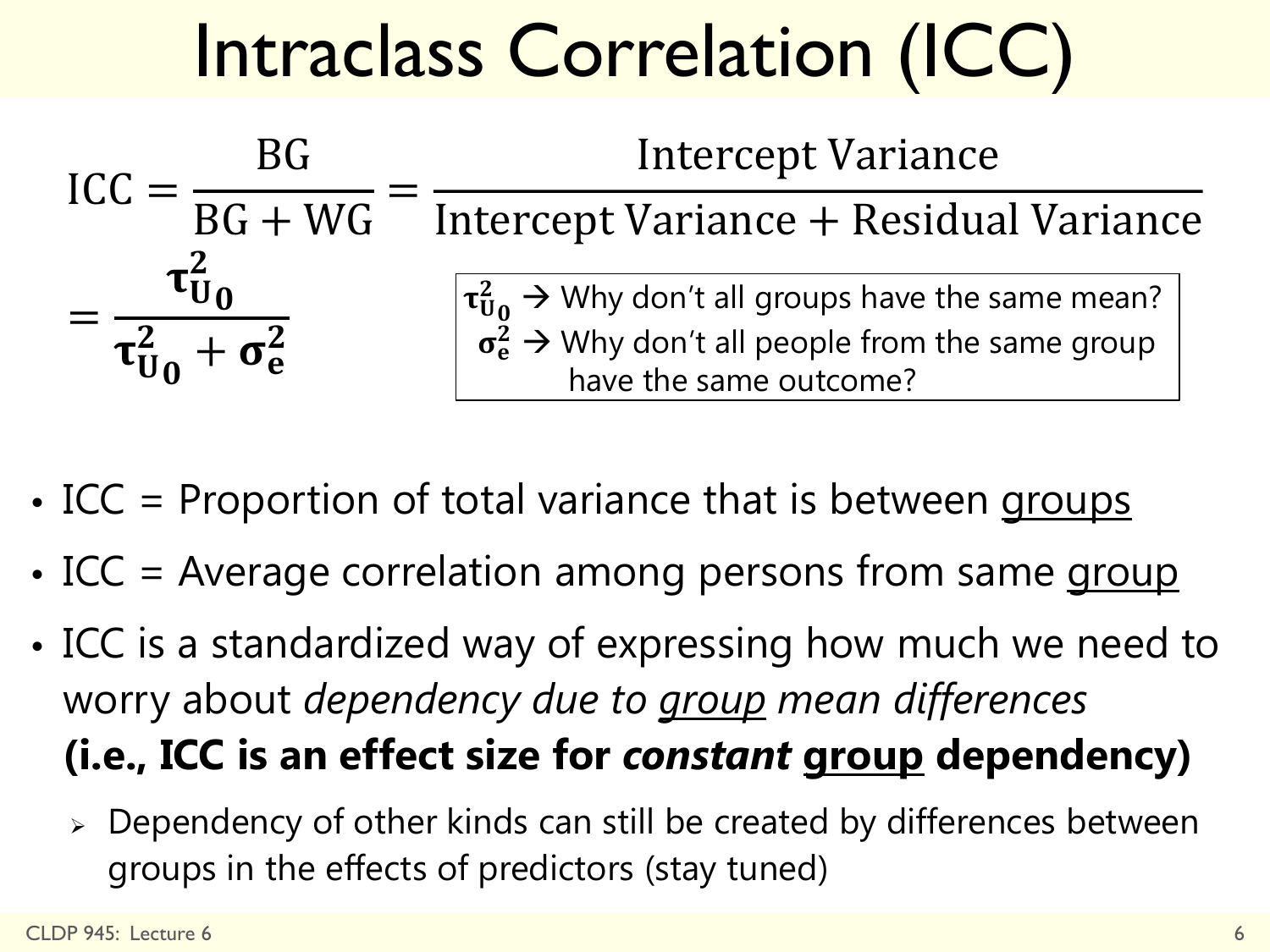# Intraclass Correlation (ICC)



- ICC = Proportion of total variance that is between groups
- ICC = Average correlation among persons from same group
- ICC is a standardized way of expressing how much we need to worry about *dependency due to group mean differences* **(i.e., ICC is an effect size for** *constant* **group dependency)**
	- Dependency of other kinds can still be created by differences between groups in the effects of predictors (stay tuned)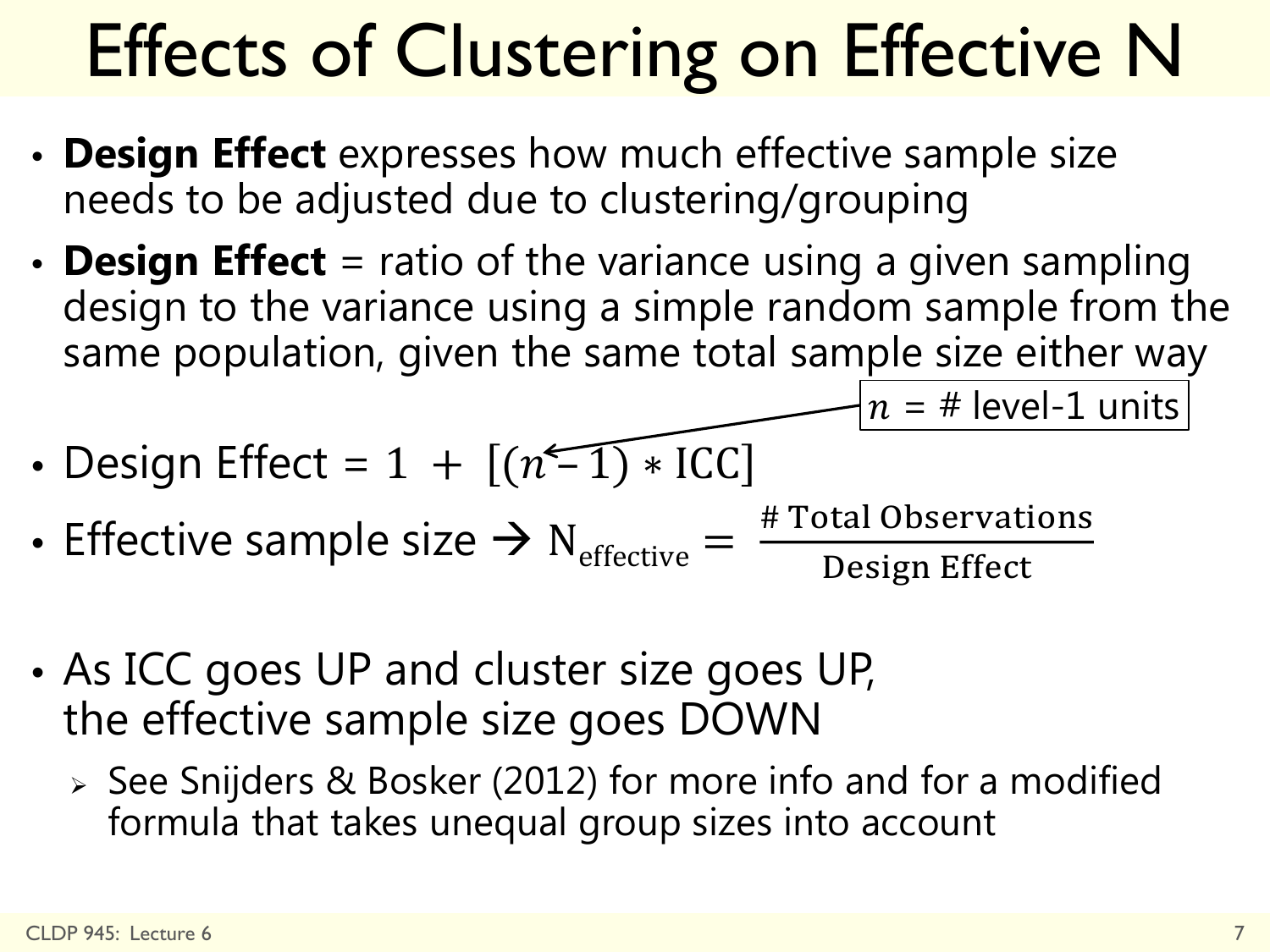# Effects of Clustering on Effective N

- **Design Effect** expresses how much effective sample size needs to be adjusted due to clustering/grouping
- **Design Effect** = ratio of the variance using a given sampling design to the variance using a simple random sample from the same population, given the same total sample size either way

 $n = #$  level-1 units

- Design Effect =  $1 + [(n-1) * ICC]$
- Effective sample size  $\rightarrow$  N<sub>effective</sub> = # Total Observations Design Effect
- As ICC goes UP and cluster size goes UP, the effective sample size goes DOWN
	- $\ge$  See Snijders & Bosker (2012) for more info and for a modified formula that takes unequal group sizes into account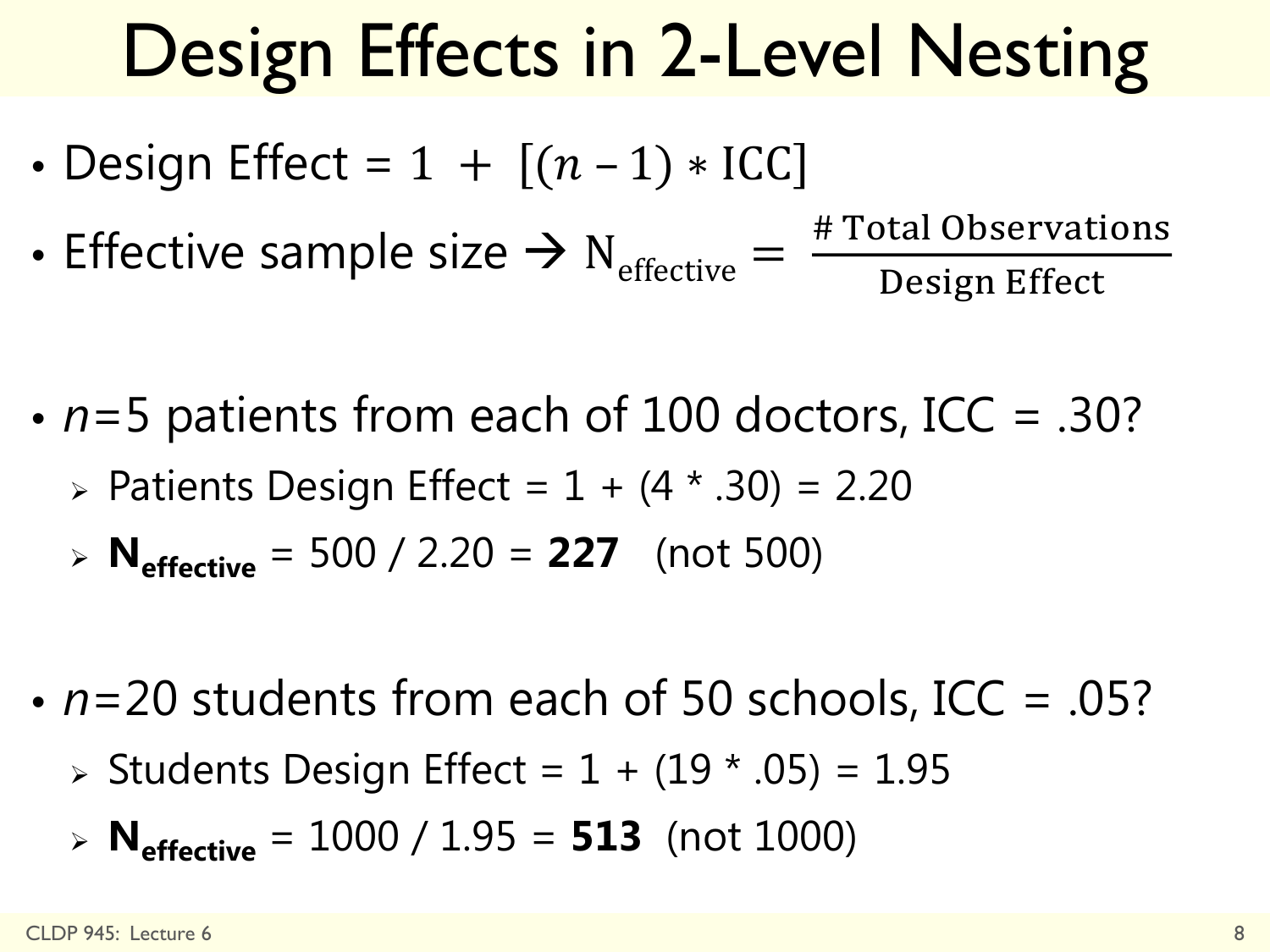# Design Effects in 2-Level Nesting

- Design Effect =  $1 + [(n-1) * ICC]$
- Effective sample size  $\rightarrow$  N<sub>effective</sub> =  $\frac{\text{\# Total Observations}}{\text{Design Effect}}$ Design Effect
- *n*=5 patients from each of 100 doctors, ICC = .30?
	- > Patients Design Effect =  $1 + (4 * .30) = 2.20$
	- $\triangleright$  **N**<sub>effective</sub> = 500 / 2.20 = **227** (not 500)
- *n*=20 students from each of 50 schools, ICC = .05?
	- $\triangleright$  Students Design Effect = 1 + (19  $*$  .05) = 1.95
	- $\triangleright$  **N**<sub>effective</sub> = 1000 / 1.95 = **513** (not 1000)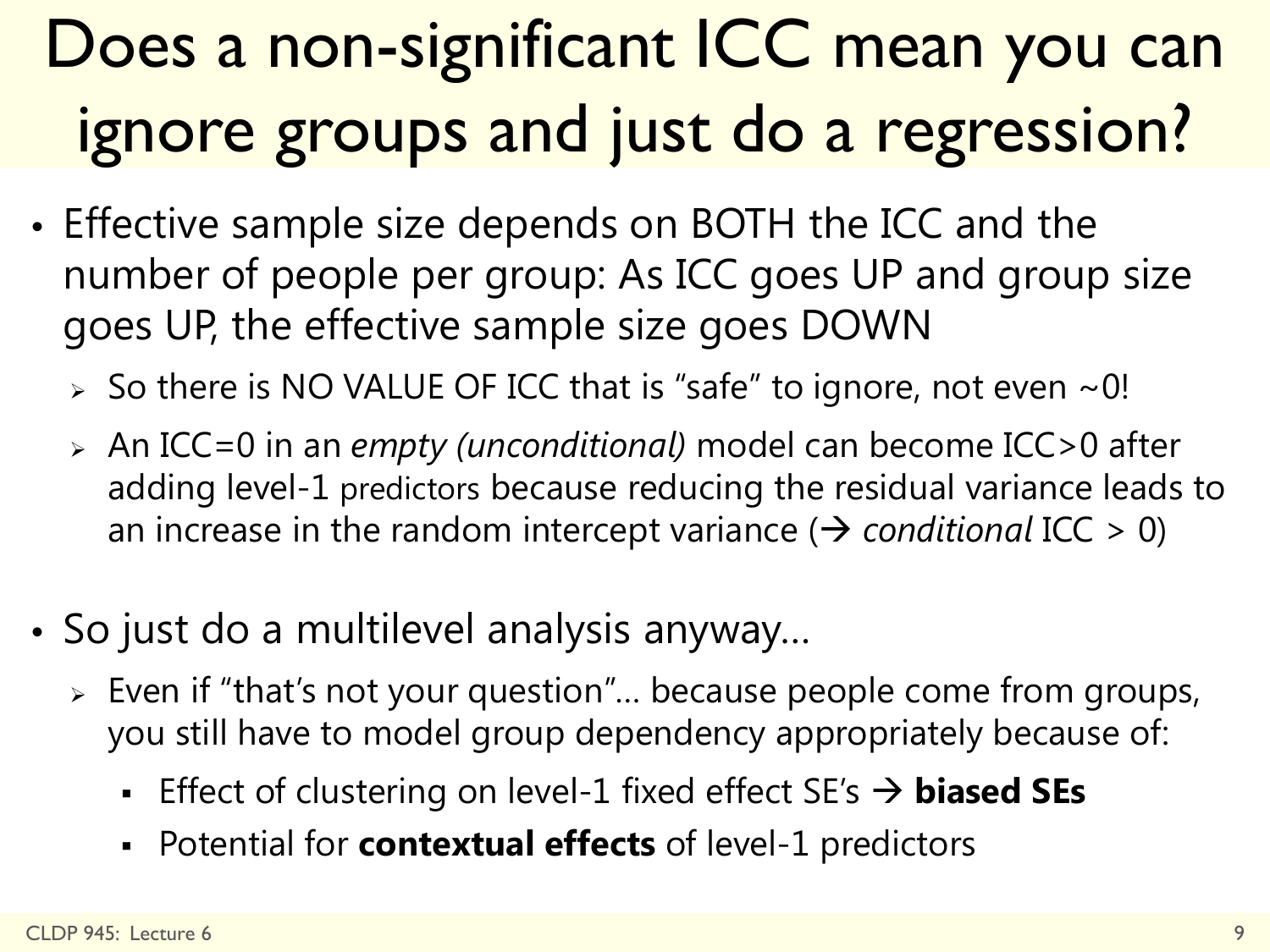## Does a non-significant ICC mean you can ignore groups and just do a regression?

- Effective sample size depends on BOTH the ICC and the number of people per group: As ICC goes UP and group size goes UP, the effective sample size goes DOWN
	- $>$  So there is NO VALUE OF ICC that is "safe" to ignore, not even  $\sim$  0!
	- An ICC=0 in an *empty (unconditional)* model can become ICC>0 after adding level-1 predictors because reducing the residual variance leads to an increase in the random intercept variance ( $\rightarrow$  conditional ICC > 0)
- So just do a multilevel analysis anyway…
	- Even if "that's not your question"… because people come from groups, you still have to model group dependency appropriately because of:
		- Effect of clustering on level-1 fixed effect SE's → **biased SEs**
		- Potential for **contextual effects** of level-1 predictors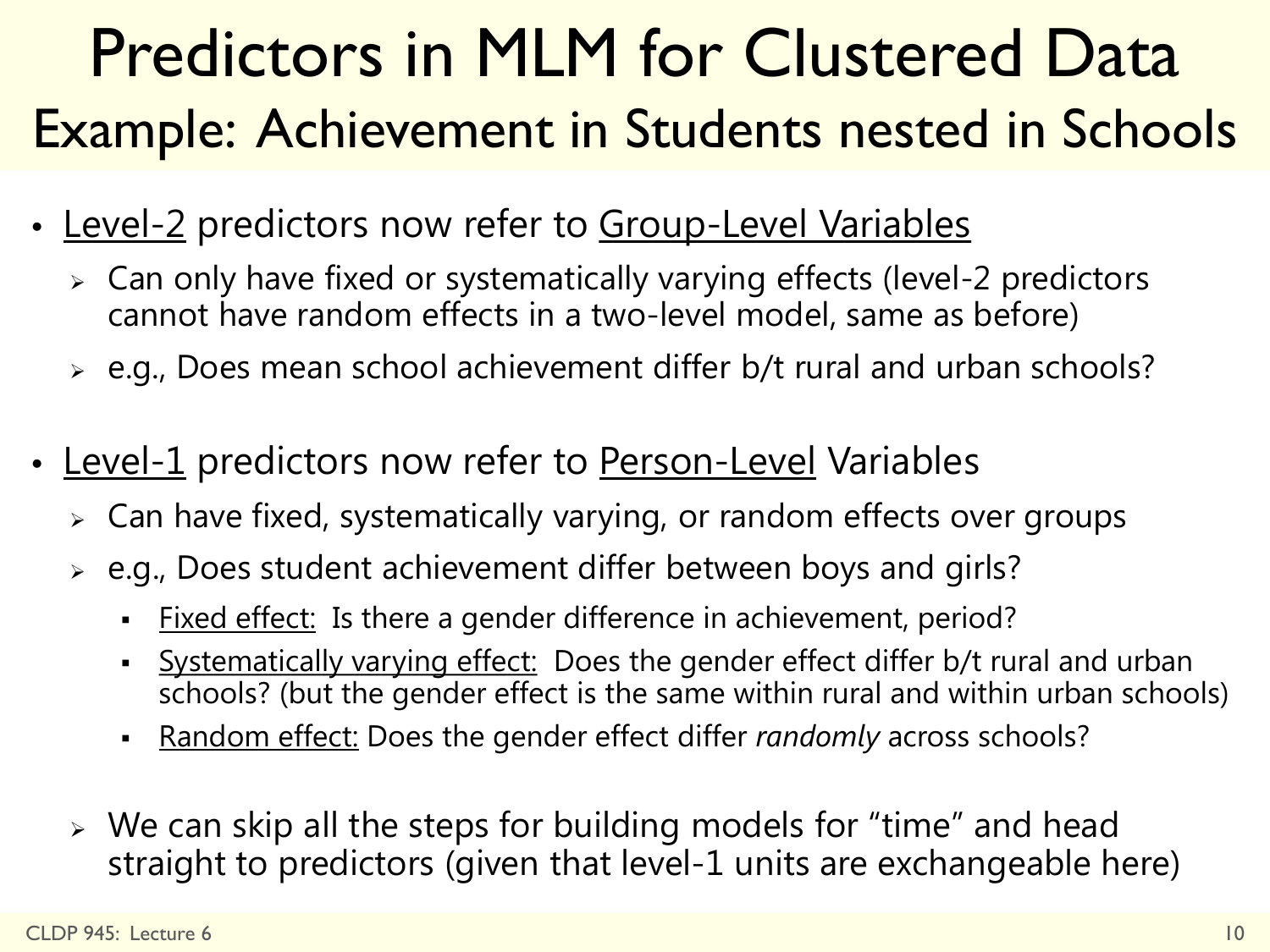### Predictors in MLM for Clustered Data Example: Achievement in Students nested in Schools

- Level-2 predictors now refer to Group-Level Variables
	- Can only have fixed or systematically varying effects (level-2 predictors cannot have random effects in a two-level model, same as before)
	- e.g., Does mean school achievement differ b/t rural and urban schools?
- Level-1 predictors now refer to Person-Level Variables
	- Can have fixed, systematically varying, or random effects over groups
	- e.g., Does student achievement differ between boys and girls?
		- Fixed effect: Is there a gender difference in achievement, period?
		- Systematically varying effect: Does the gender effect differ b/t rural and urban schools? (but the gender effect is the same within rural and within urban schools)
		- Random effect: Does the gender effect differ *randomly* across schools?
	- We can skip all the steps for building models for "time" and head straight to predictors (given that level-1 units are exchangeable here)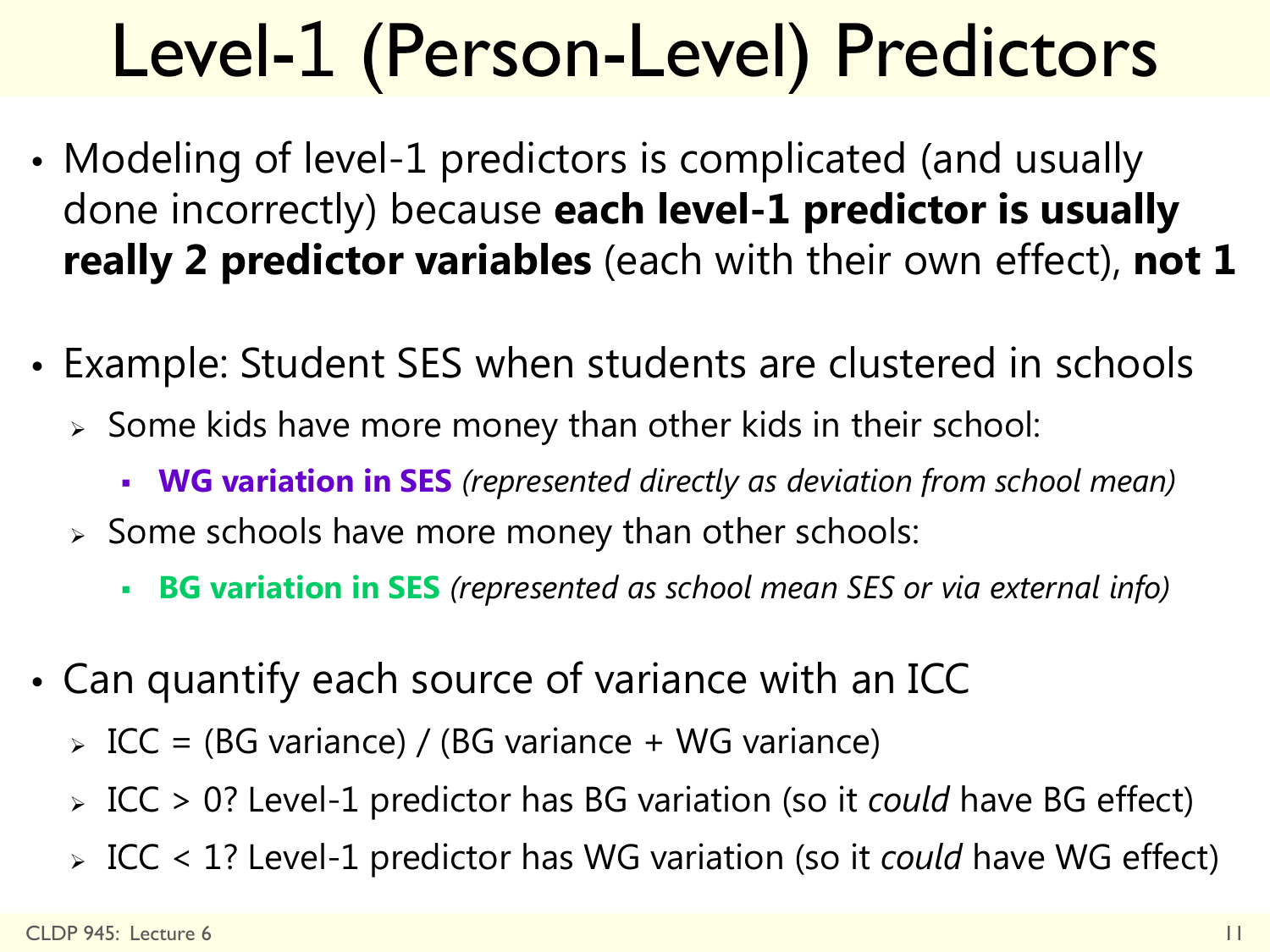# Level-1 (Person-Level) Predictors

- Modeling of level-1 predictors is complicated (and usually done incorrectly) because **each level-1 predictor is usually really 2 predictor variables** (each with their own effect), **not 1**
- Example: Student SES when students are clustered in schools
	- $\triangleright$  Some kids have more money than other kids in their school:
		- **WG variation in SES** *(represented directly as deviation from school mean)*
	- $\geq$  Some schools have more money than other schools:
		- **BG variation in SES** *(represented as school mean SES or via external info)*
- Can quantify each source of variance with an ICC
	- $\angle$  ICC = (BG variance) / (BG variance + WG variance)
	- ICC > 0? Level-1 predictor has BG variation (so it *could* have BG effect)
	- ICC < 1? Level-1 predictor has WG variation (so it *could* have WG effect)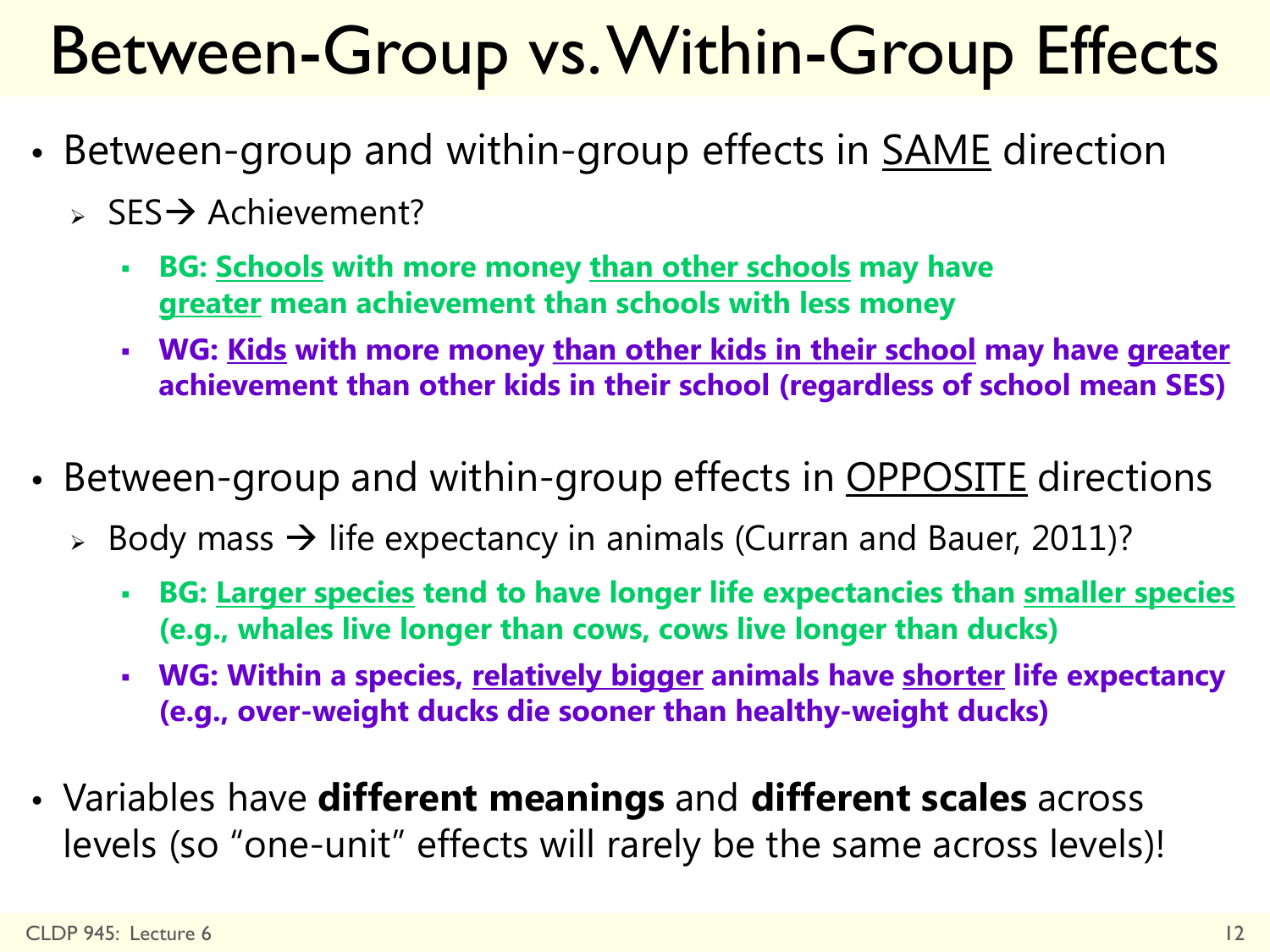## Between-Group vs. Within-Group Effects

- Between-group and within-group effects in **SAME** direction
	- $\triangleright$  SES  $\rightarrow$  Achievement?
		- **BG: Schools with more money than other schools may have greater mean achievement than schools with less money**
		- **WG: Kids with more money than other kids in their school may have greater achievement than other kids in their school (regardless of school mean SES)**
- Between-group and within-group effects in **OPPOSITE** directions
	- $\geq$  Body mass  $\rightarrow$  life expectancy in animals (Curran and Bauer, 2011)?
		- **BG: Larger species tend to have longer life expectancies than smaller species (e.g., whales live longer than cows, cows live longer than ducks)**
		- **WG: Within a species, relatively bigger animals have shorter life expectancy (e.g., over-weight ducks die sooner than healthy-weight ducks)**
- Variables have **different meanings** and **different scales** across levels (so "one-unit" effects will rarely be the same across levels)!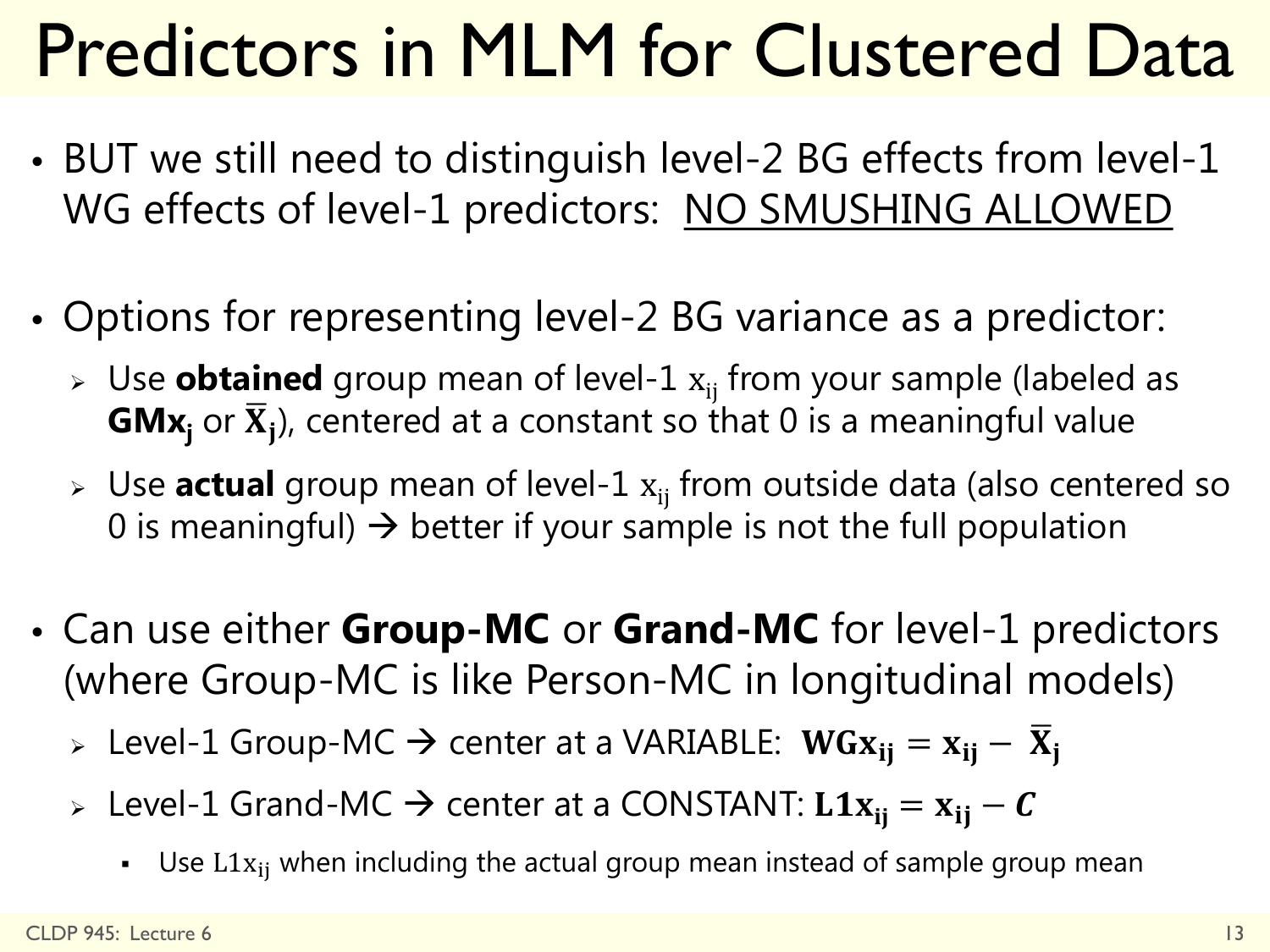# Predictors in MLM for Clustered Data

- BUT we still need to distinguish level-2 BG effects from level-1 WG effects of level-1 predictors: NO SMUSHING ALLOWED
- Options for representing level-2 BG variance as a predictor:
	- > Use **obtained** group mean of level-1  $x_{ii}$  from your sample (labeled as **GMx**<sub>i</sub> or  $\overline{X}_i$ ), centered at a constant so that 0 is a meaningful value
	- $\triangleright$  Use **actual** group mean of level-1  $x_{ij}$  from outside data (also centered so 0 is meaningful)  $\rightarrow$  better if your sample is not the full population
- Can use either **Group-MC** or **Grand-MC** for level-1 predictors (where Group-MC is like Person-MC in longitudinal models)

> Level-1 Group-MC  $\rightarrow$  center at a VARIABLE:  $WGx_{ij} = x_{ij} - \overline{X}_i$ 

- > Level-1 Grand-MC → center at a CONSTANT:  $L1x_{ii} = x_{ii} C$ 
	- Use  $L1x_{ij}$  when including the actual group mean instead of sample group mean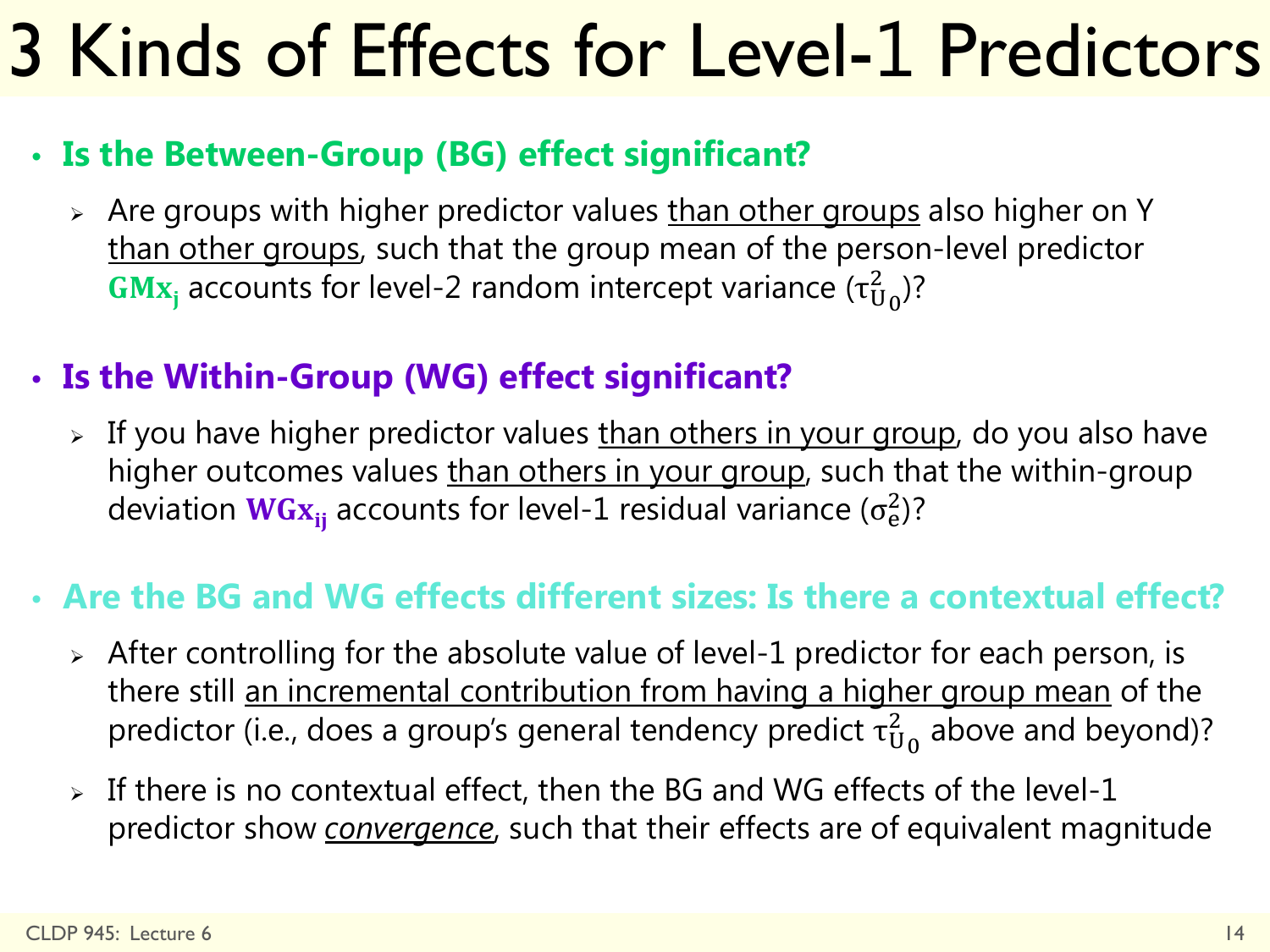# 3 Kinds of Effects for Level-1 Predictors

#### • **Is the Between-Group (BG) effect significant?**

> Are groups with higher predictor values than other groups also higher on Y than other groups, such that the group mean of the person-level predictor **Mx**<sub>j</sub> accounts for level-2 random intercept variance ( $\tau_{U_0}^2$ )?

#### • **Is the Within-Group (WG) effect significant?**

> If you have higher predictor values than others in your group, do you also have higher outcomes values than others in your group, such that the within-group deviation  $\textsf{WGx}_{\textsf{ij}}$  accounts for level-1 residual variance ( $\sigma^2_{\textsf{e}}$ )?

#### • **Are the BG and WG effects different sizes: Is there a contextual effect?**

- $\triangleright$  After controlling for the absolute value of level-1 predictor for each person, is there still an incremental contribution from having a higher group mean of the predictor (i.e., does a group's general tendency predict  $\tau^2_{{\mathsf U}_0}$  above and beyond)?
- $>$  If there is no contextual effect, then the BG and WG effects of the level-1 predictor show *convergence*, such that their effects are of equivalent magnitude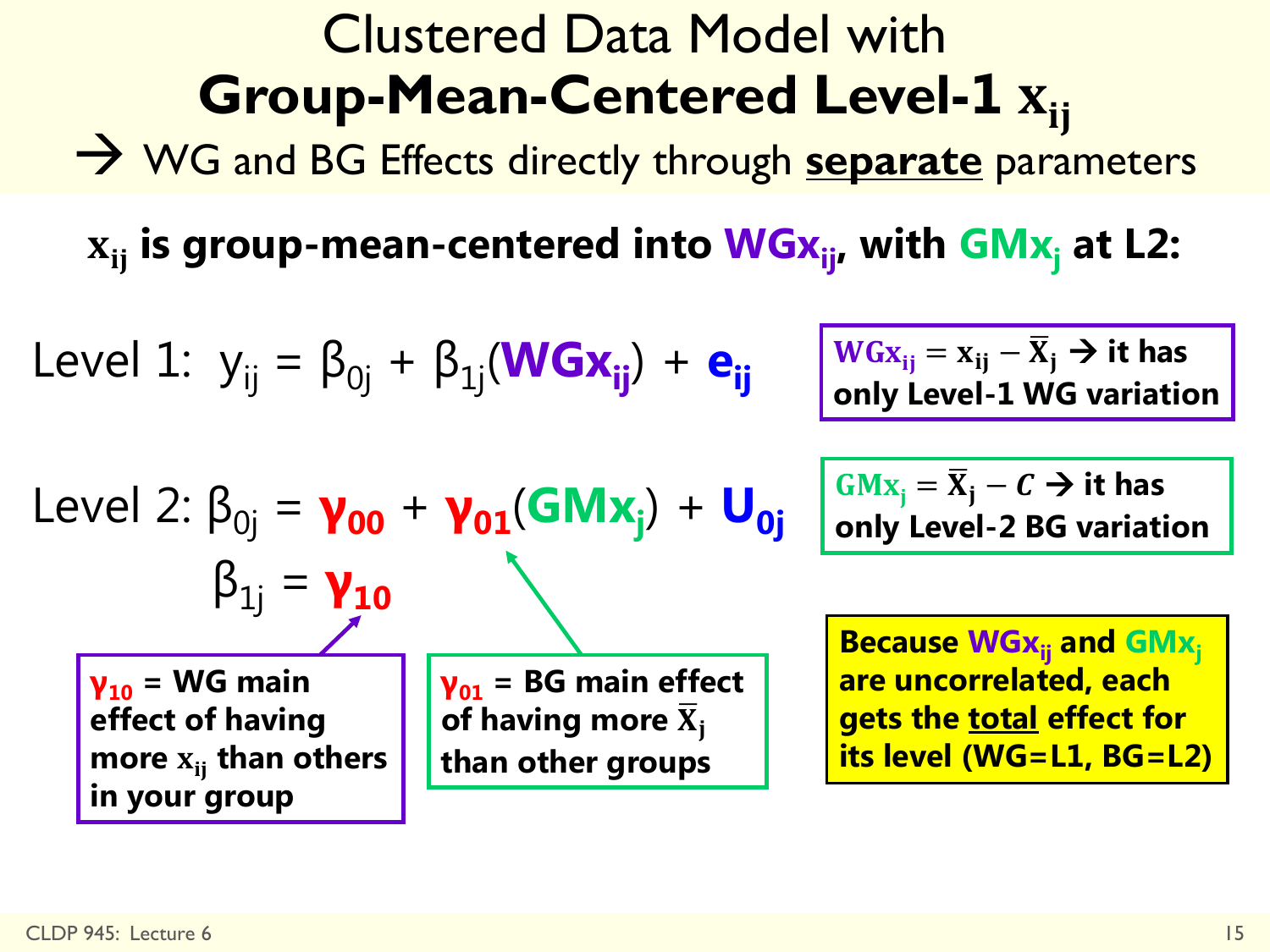**γ<sup>10</sup> = WG main effect of having**  more  $\mathbf{x}_{ij}$  than others **in your group** CLDP 945: Lecture 6 15

### Clustered Data Model with **Group-Mean-Centered Level-1**

WG and BG Effects directly through **separate** parameters

 $\mathbf{x}_{\mathbf{ii}}$  is group-mean-centered into **WGx**<sub>ij</sub>, with **GMx**<sub>i</sub> at L2:

| Level 1: $y_{ij} = \beta_{0j} + \beta_{1j}(\text{WGx}_{ij}) + e_{ij}$      | $\frac{w_{Gx_{ij}} = x_{ij} - \overline{x}_{j} \rightarrow it$ has only Level-1 WG variation only Level-1 WG variation                                                                                                                                                                                                                                                                                                                                                                                                                                                                                                                                                                                                                                                                                                                                                                                                                                                                                                                                                                                                                                                                                                          |
|----------------------------------------------------------------------------|---------------------------------------------------------------------------------------------------------------------------------------------------------------------------------------------------------------------------------------------------------------------------------------------------------------------------------------------------------------------------------------------------------------------------------------------------------------------------------------------------------------------------------------------------------------------------------------------------------------------------------------------------------------------------------------------------------------------------------------------------------------------------------------------------------------------------------------------------------------------------------------------------------------------------------------------------------------------------------------------------------------------------------------------------------------------------------------------------------------------------------------------------------------------------------------------------------------------------------|
| Level 2: $\beta_{0j} = \gamma_{00} + \gamma_{01}(\text{GMx}_{j}) + U_{0j}$ | $\frac{GMx_{j} = \overline{x}_{j} - c \rightarrow it$ has only Level-2 BG variation only Level-2 BG variation only Level-2 BG variation of having more $\overline{x}_{j}$ and $\frac{GMx_{j}}{}$ of having more $\overline{x}_{j}$ and $\frac{GMx_{j}}{}$ and $\overline{}$ and $\overline{}$ of having more $\overline{x}_{j}$ and $\overline{}$ of having more $\overline{x}_{j}$ and $\overline{}$ of $\overline{x}_{j}$ and $\overline{}$ of $\overline{x}_{j}$ and $\overline{}$ of $\overline{x}_{j}$ and $\overline{}$ of $\overline{x}_{j}$ and $\overline{}$ of $\overline{x}_{j}$ and $\overline{}$ of $\overline{x}_{j}$ and $\overline{}$ of $\overline{x}_{j}$ and $\overline{}$ of $\overline{x}_{j}$ and $\overline{}$ of $\overline{x}_{j}$ and $\overline{}$ of $\overline{x}_{j}$ and $\overline{}$ of $\overline{x}_{j}$ and $\overline{}$ of $\overline{x}_{j}$ and $\overline{}$ of $\overline{x}_{j}$ and $\overline{}$ of $\overline{x}_{j}$ and $\overline{}$ of $\overline{x}_{j}$ and $\overline{}$ of $\overline{x}_{j}$ and $\overline{}$ of $\overline{x}_{j}$ and $\overline{}$ of $\overline{x}_{j}$ and $\overline{}$ of $\overline{x}_{j}$ and $\overline{}$ of $\overline{x}_{j}$ and $\over$ |

**BG variation**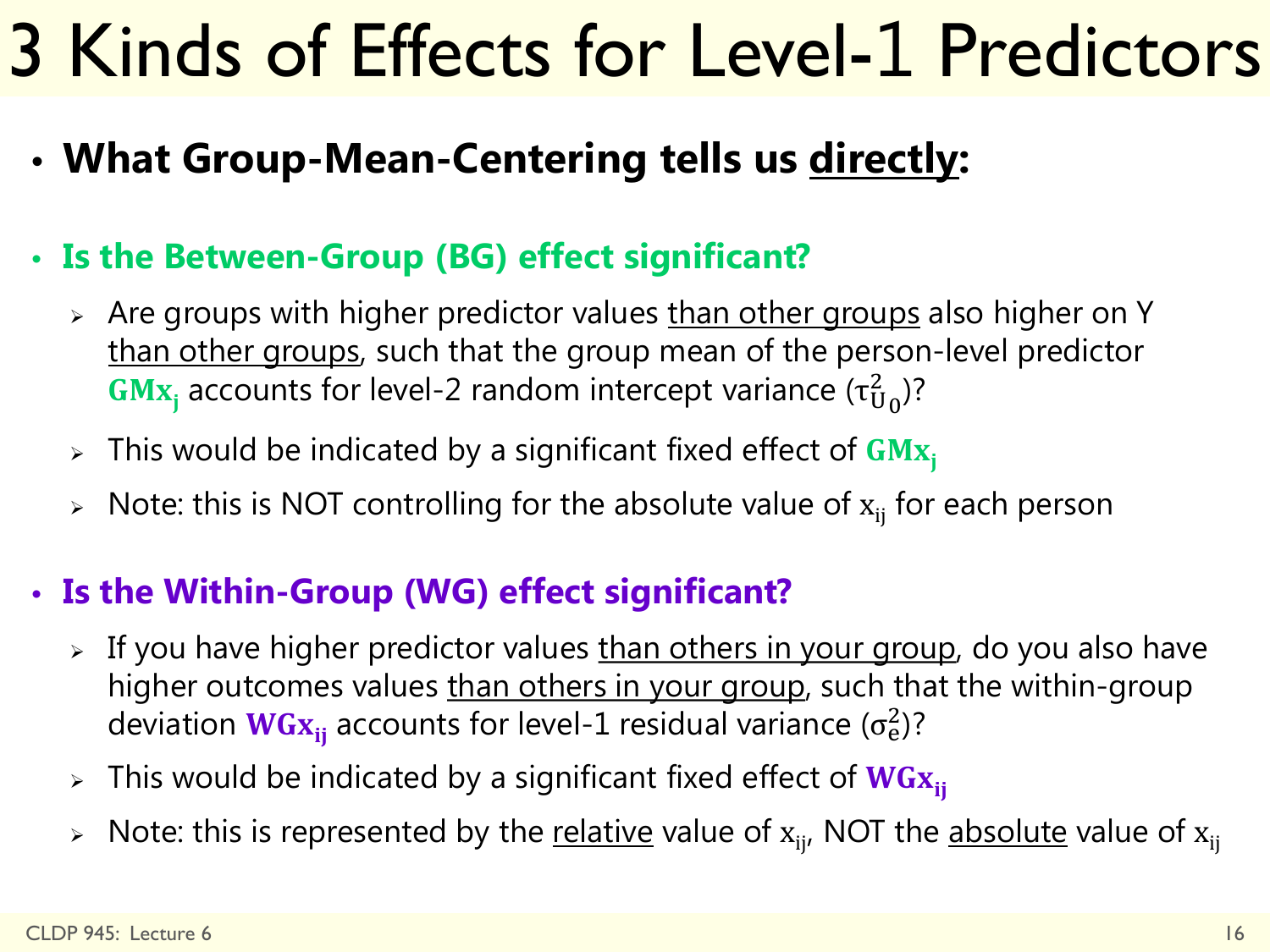## 3 Kinds of Effects for Level-1 Predictors

• **What Group-Mean-Centering tells us directly:**

#### • **Is the Between-Group (BG) effect significant?**

- Are groups with higher predictor values than other groups also higher on Y than other groups, such that the group mean of the person-level predictor **Mx**<sub>j</sub> accounts for level-2 random intercept variance ( $\tau_{U_0}^2$ )?
- $\triangleright$  This would be indicated by a significant fixed effect of GM $x_i$
- Note: this is NOT controlling for the absolute value of  $x_{ii}$  for each person

#### • **Is the Within-Group (WG) effect significant?**

- > If you have higher predictor values than others in your group, do you also have higher outcomes values than others in your group, such that the within-group deviation  $\textsf{WGx}_{\textsf{ij}}$  accounts for level-1 residual variance ( $\sigma^2_{\textsf{e}}$ )?
- $\triangleright$  This would be indicated by a significant fixed effect of WG $x_{ii}$
- $\triangleright$  Note: this is represented by the <u>relative</u> value of  $\mathrm{x}_{\mathsf{i}\mathsf{j}'}$  NOT the <u>absolute</u> value of  $\mathrm{x}_{\mathsf{i}\mathsf{j}}$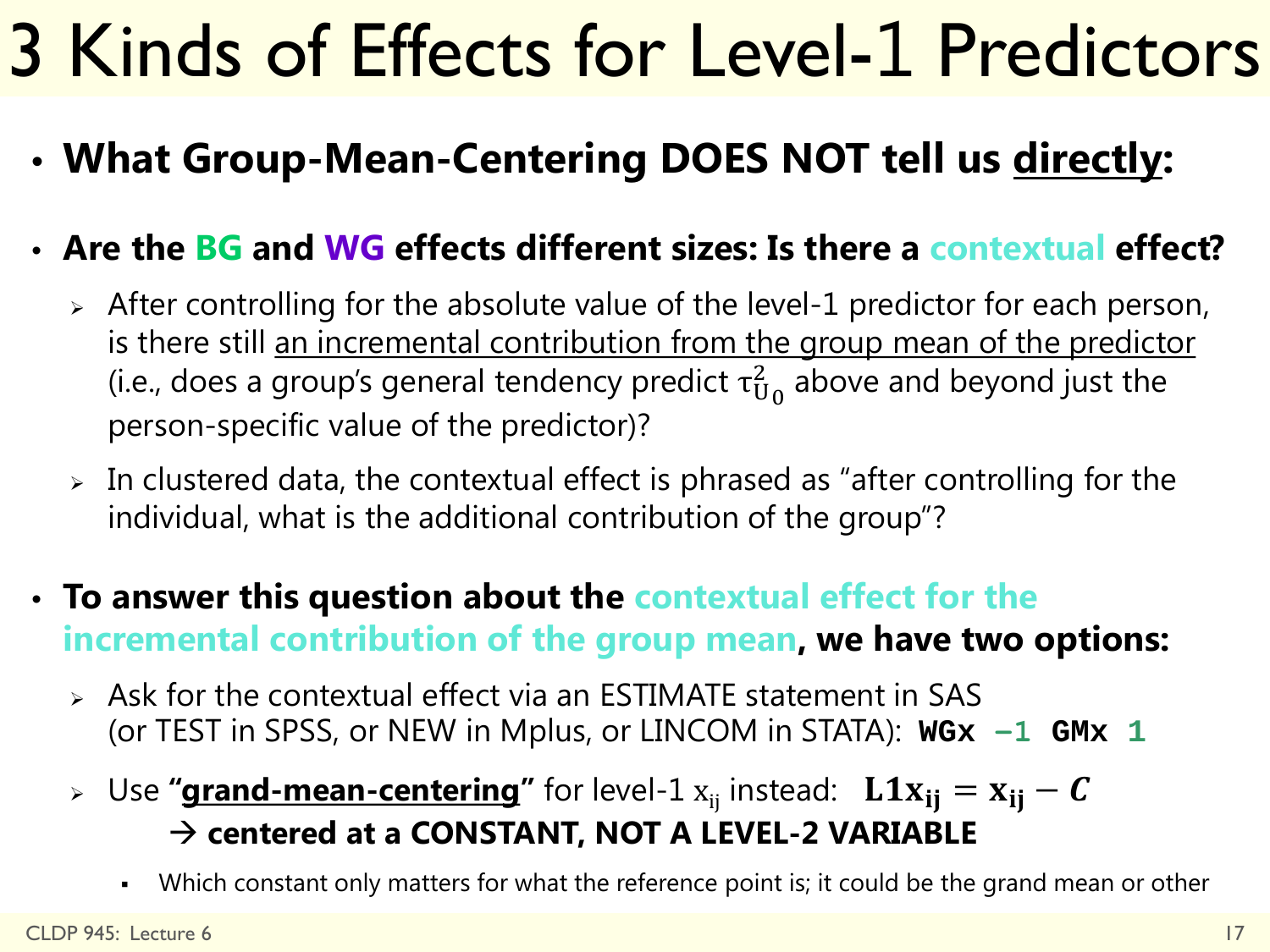# 3 Kinds of Effects for Level-1 Predictors

• **What Group-Mean-Centering DOES NOT tell us directly:**

#### • **Are the BG and WG effects different sizes: Is there a contextual effect?**

- $\geq$  After controlling for the absolute value of the level-1 predictor for each person, is there still an incremental contribution from the group mean of the predictor (i.e., does a group's general tendency predict  $\tau_{U_0}^2$  above and beyond just the person-specific value of the predictor)?
- $\geq$  In clustered data, the contextual effect is phrased as "after controlling for the individual, what is the additional contribution of the group"?
- **To answer this question about the contextual effect for the incremental contribution of the group mean, we have two options:**
	- $\triangleright$  Ask for the contextual effect via an ESTIMATE statement in SAS (or TEST in SPSS, or NEW in Mplus, or LINCOM in STATA): **WGx −1 GMx 1**
	- > Use "**grand-mean-centering**" for level-1  $x_{ij}$  instead:  $\bf{L1}x_{ij} = x_{ij} C$  **centered at a CONSTANT, NOT A LEVEL-2 VARIABLE**
		- Which constant only matters for what the reference point is; it could be the grand mean or other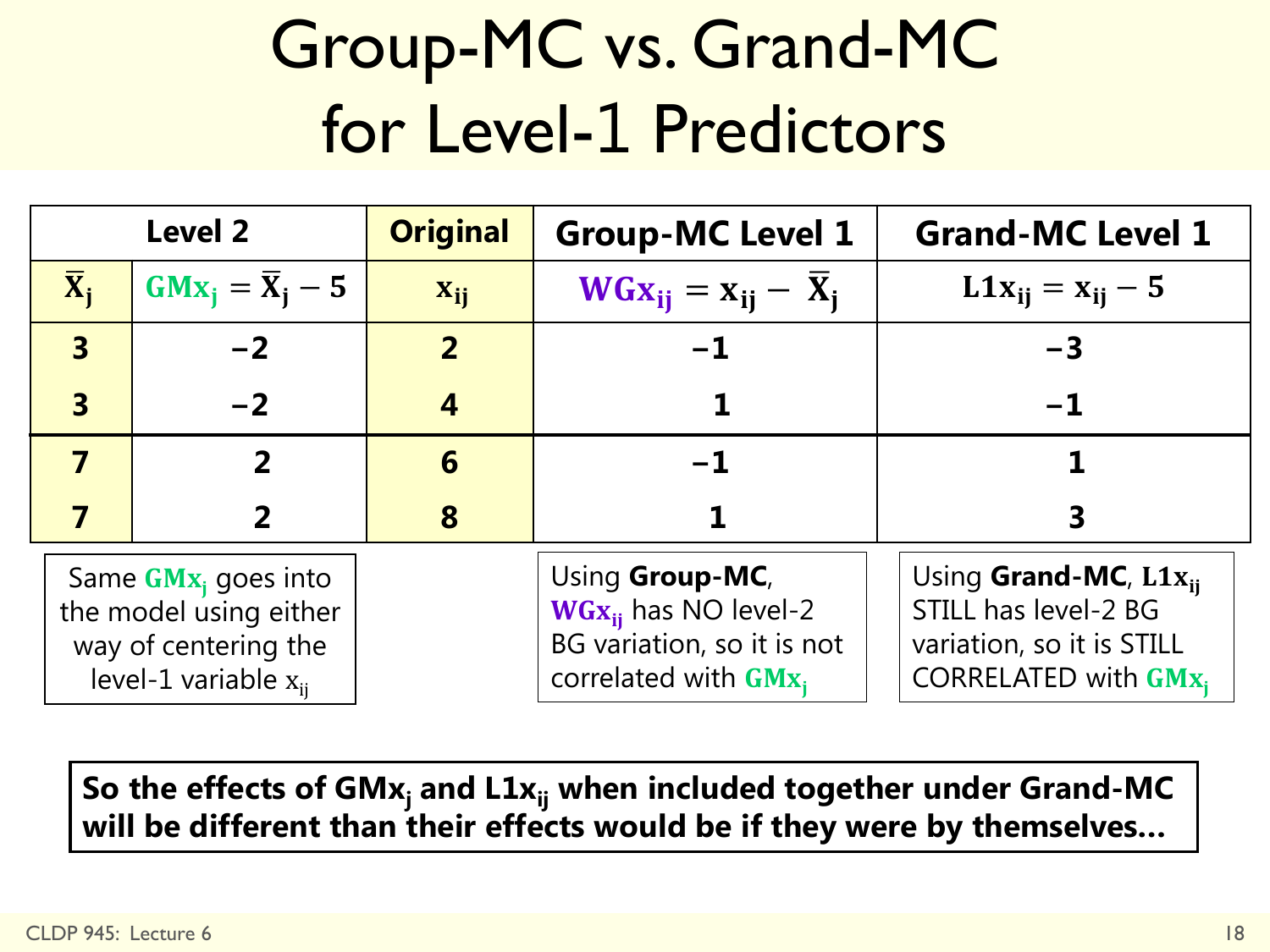## Group-MC vs. Grand-MC for Level-1 Predictors

| <b>Level 2</b>            |                                                                                                                | <b>Original</b> | <b>Group-MC Level 1</b>                                                                               | <b>Grand-MC Level 1</b>                                                                                        |  |  |
|---------------------------|----------------------------------------------------------------------------------------------------------------|-----------------|-------------------------------------------------------------------------------------------------------|----------------------------------------------------------------------------------------------------------------|--|--|
| $\overline{\mathbf{X}}_i$ | $GMx_i = \overline{X}_i - 5$                                                                                   | $X_{ij}$        | $WGx_{ii} = x_{ii} - X_i$                                                                             | $L1x_{ij} = x_{ij} - 5$                                                                                        |  |  |
| $\overline{\mathbf{3}}$   | $-2$                                                                                                           | $\overline{2}$  | $-1$                                                                                                  | $-3$                                                                                                           |  |  |
| $\overline{\mathbf{3}}$   | $-2$                                                                                                           |                 |                                                                                                       | $-1$                                                                                                           |  |  |
| 7                         | 2                                                                                                              | 6               | $-1$                                                                                                  |                                                                                                                |  |  |
|                           | 2                                                                                                              | 8               |                                                                                                       |                                                                                                                |  |  |
|                           | Same GMx <sub>i</sub> goes into<br>the model using either<br>way of centering the<br>level-1 variable $x_{ii}$ |                 | Using Group-MC,<br>$WGx_{ii}$ has NO level-2<br>BG variation, so it is not<br>correlated with $GMx_i$ | Using Grand-MC, $L1x_{ii}$<br>STILL has level-2 BG<br>variation, so it is STILL<br><b>CORRELATED with GMx,</b> |  |  |

So the effects of GMx<sub>j</sub> and L1x<sub>ij</sub> when included together under Grand-MC will be different than their effects would be if they were by themselves...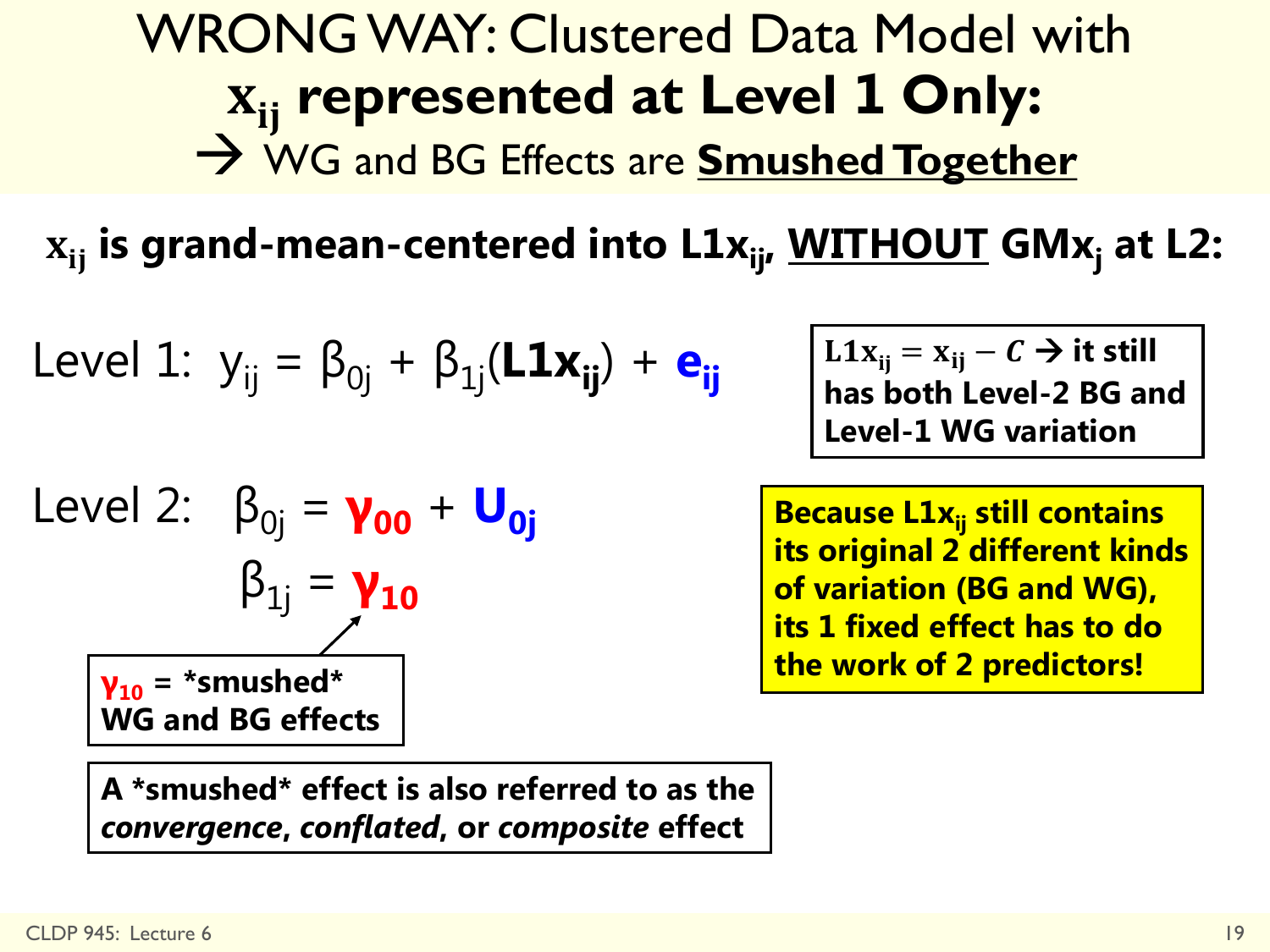### WRONG WAY: Clustered Data Model with **represented at Level 1 Only:** WG and BG Effects are **Smushed Together**

 $\mathbf{x}_{ii}$  is grand-mean-centered into  $\mathbf{L1x}_{ii}$ , **WITHOUT** GMx<sub>i</sub> at L2:

Level 1: 
$$
y_{ij} = \beta_{0j} + \beta_{1j}(\mathbf{L1}x_{ij}) + e_{ij}
$$

Level 2: 
$$
\beta_{0j} = \gamma_{00} + U_{0j}
$$

\n $\beta_{1j} = \gamma_{10}$ 

\n $\gamma_{10} = \text{*smushed*}$ 

\nWG and BG effects

**A \*smushed\* effect is also referred to as the**  *convergence***,** *conflated***, or** *composite* **effect**

 $L1x_{ij} = x_{ij} - C \rightarrow it$  still **has both Level-2 BG and Level-1 WG variation** 

**Because L1x<sub>ii</sub> still contains its original 2 different kinds of variation (BG and WG), its 1 fixed effect has to do the work of 2 predictors!**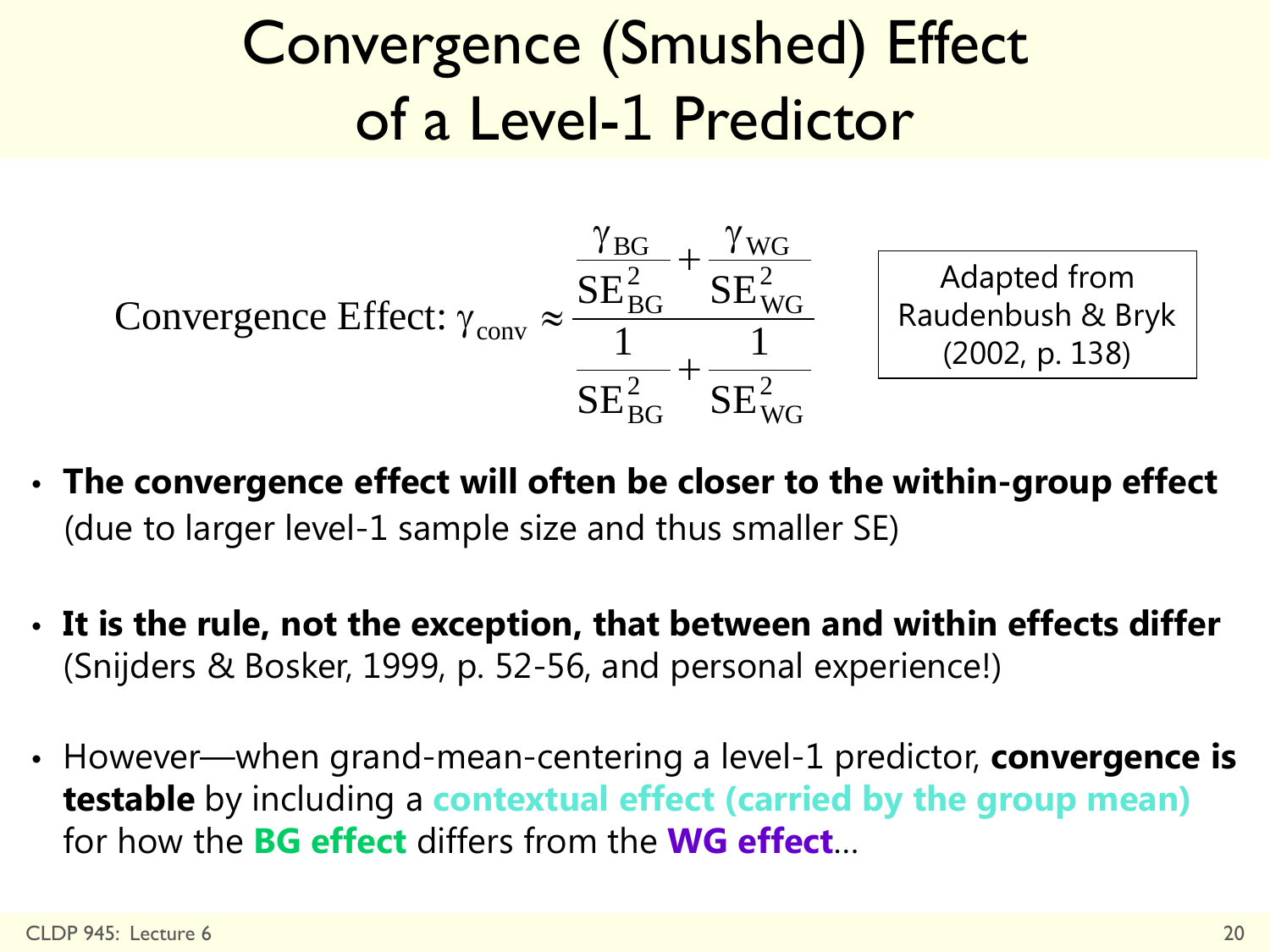### Convergence (Smushed) Effect of a Level-1 Predictor



- **The convergence effect will often be closer to the within-group effect** (due to larger level-1 sample size and thus smaller SE)
- **It is the rule, not the exception, that between and within effects differ** (Snijders & Bosker, 1999, p. 52-56, and personal experience!)
- However—when grand-mean-centering a level-1 predictor, **convergence is testable** by including a **contextual effect (carried by the group mean)**  for how the **BG effect** differs from the **WG effect**…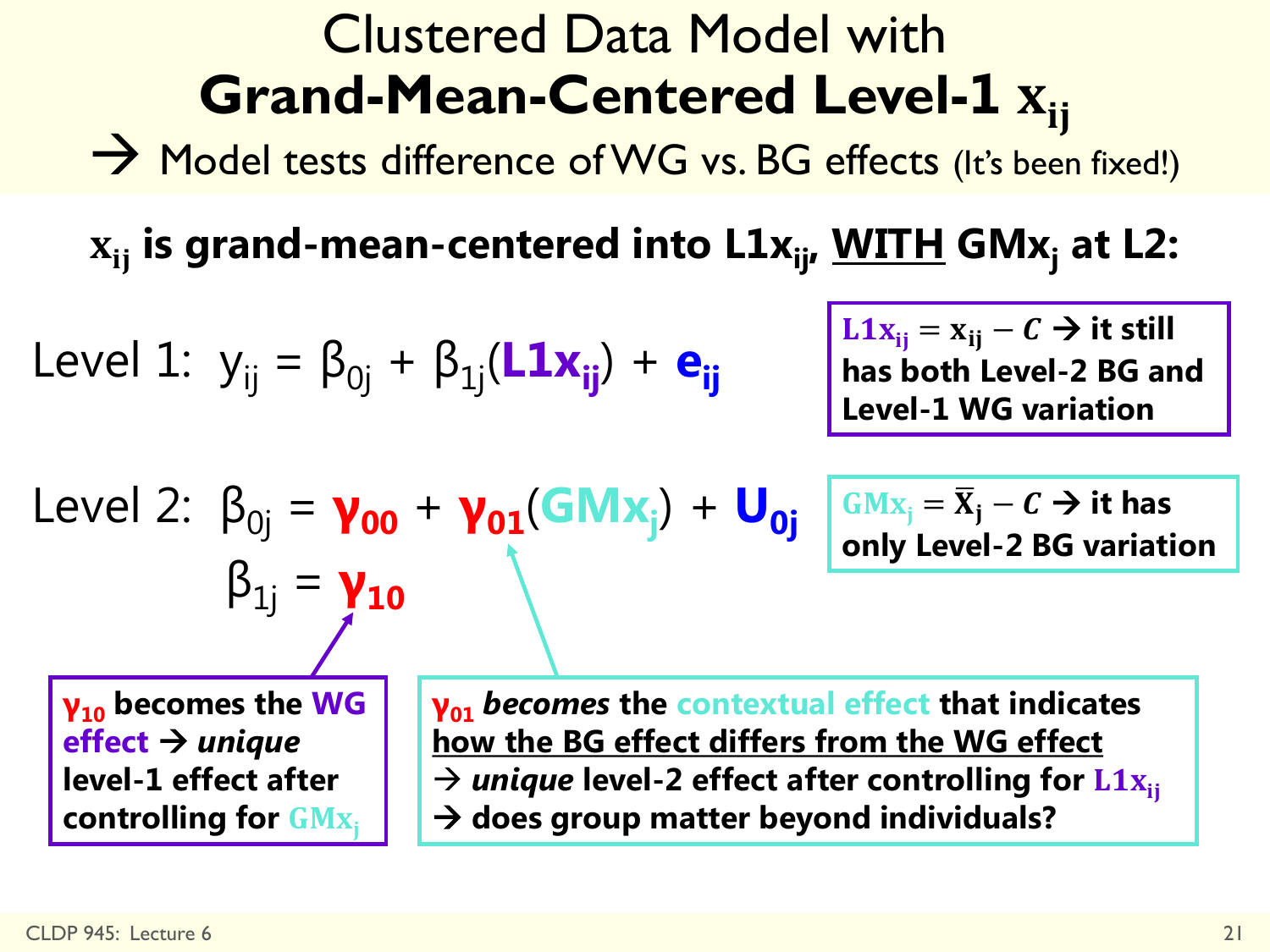### Clustered Data Model with **Grand-Mean-Centered Level-1**

 $\rightarrow$  Model tests difference of WG vs. BG effects (It's been fixed!)

 $\mathbf{x}_{ii}$  is grand-mean-centered into  $\mathbf{L1x}_{ii}$ , **WITH** GM<sub>x<sub>i</sub> at L2:</sub>

Level 1: 
$$
y_{ij} = \beta_{0j} + \beta_{1j}(\mathbf{L} \mathbf{1} \mathbf{x}_{ij}) + \mathbf{e}_{ij}
$$

 $β_{1j} = **γ**_{10}$ 

 $Level 2: \beta_{0j} = \gamma_{00} + \gamma_{01}(GMx_j) + U_{0j}$ 

 $L1x_{ij} = x_{ij} - C \rightarrow it$  still **has both Level-2 BG and Level-1 WG variation** 

**G**
$$
Mx_j = \overline{X}_j - C \rightarrow
$$
 it has  
only Level-2 BG variation

**γ<sup>10</sup> becomes the WG effect** *unique* **level-1 effect after controlling for** 

**γ<sup>01</sup>** *becomes* **the contextual effect that indicates how the BG effect differs from the WG effect**   $\rightarrow$  *unique* level-2 effect after controlling for  $L1x_{ii}$ **does group matter beyond individuals?**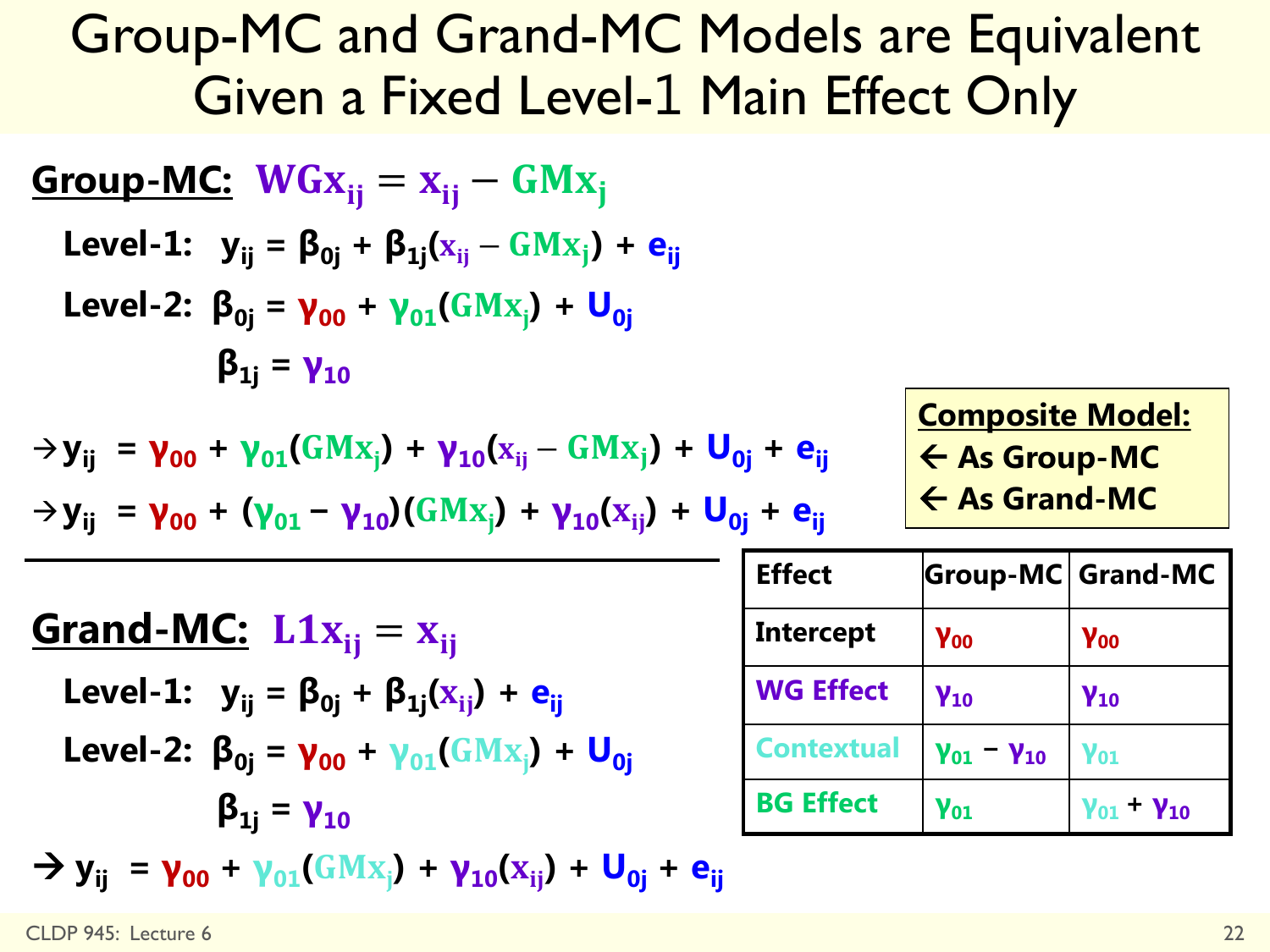### Group-MC and Grand-MC Models are Equivalent Given a Fixed Level-1 Main Effect Only

| Group-MC:                                                                                                       | $WGx_{ij} = x_{ij} - GMx_j$                                 |
|-----------------------------------------------------------------------------------------------------------------|-------------------------------------------------------------|
| Level-1:                                                                                                        | $y_{ij} = \beta_{0j} + \beta_{1j}(x_{ij} - GMx_j) + e_{ij}$ |
| Level-2:                                                                                                        | $\beta_{0j} = \gamma_{00} + \gamma_{01}(GMx_j) + U_{0j}$    |
| $\beta_{1j} = \gamma_{10}$                                                                                      |                                                             |
| $\rightarrow y_{ij} = \gamma_{00} + \gamma_{01}(GMx_j) + \gamma_{10}(x_{ij} - GMx_j) + U_{0j} + e_{ij}$         |                                                             |
| $\rightarrow y_{ij} = \gamma_{00} + (\gamma_{01} - \gamma_{10})(GMx_j) + \gamma_{10}(x_{ij}) + U_{0j} + e_{ij}$ |                                                             |
| $\rightarrow y_{ij} = \gamma_{00} + (\gamma_{01} - \gamma_{10})(GMx_j) + \gamma_{10}(x_{ij}) + U_{0j} + e_{ij}$ |                                                             |
| Grand-MC:                                                                                                       | $L1x_{ij} = x_{ij}$                                         |
| Level-1:                                                                                                        | $y_{ij} = \beta_{0j} + \beta_{1j}(x_{ij}) + e_{ij}$         |
| Level-2:                                                                                                        | $\beta_{0j} = \gamma_{00} + \gamma_{01}(GMx_j) + U_{0j}$    |
| $\beta_{1j} = \gamma_{10}$                                                                                      |                                                             |
| $\rightarrow y_{ij} = \gamma_{00} + \gamma_{01}(GMx_j) + \gamma_{10}(x_{ij}) + U_{0j} + e_{ij}$                 |                                                             |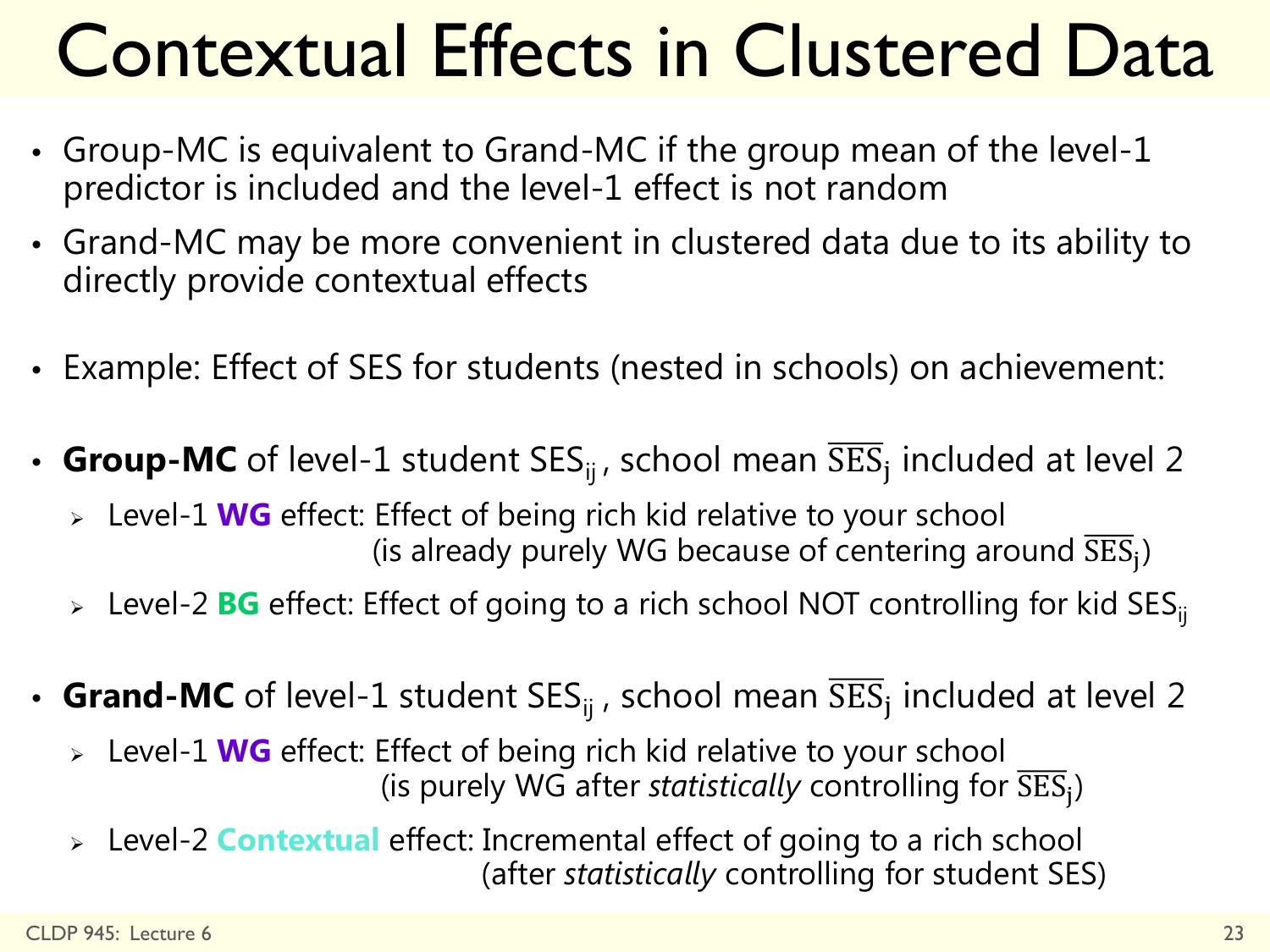# Contextual Effects in Clustered Data

- Group-MC is equivalent to Grand-MC if the group mean of the level-1 predictor is included and the level-1 effect is not random
- Grand-MC may be more convenient in clustered data due to its ability to directly provide contextual effects
- Example: Effect of SES for students (nested in schools) on achievement:
- **Group-MC** of level-1 student  $SES_{ij}$ , school mean  $\overline{SES}_{i}$  included at level 2
	- Level-1 **WG** effect: Effect of being rich kid relative to your school (is already purely WG because of centering around  $\overline{\rm SES}_i$ )
	- > Level-2 **BG** effect: Effect of going to a rich school NOT controlling for kid SES<sub>ii</sub>
- **Grand-MC** of level-1 student  $SES_{ij}$ , school mean  $\overline{SES}_{i}$  included at level 2
	- Level-1 **WG** effect: Effect of being rich kid relative to your school (is purely WG after *statistically* controlling for  $\overline{\text{SES}}_i$ )
	- Level-2 **Contextual** effect: Incremental effect of going to a rich school (after *statistically* controlling for student SES)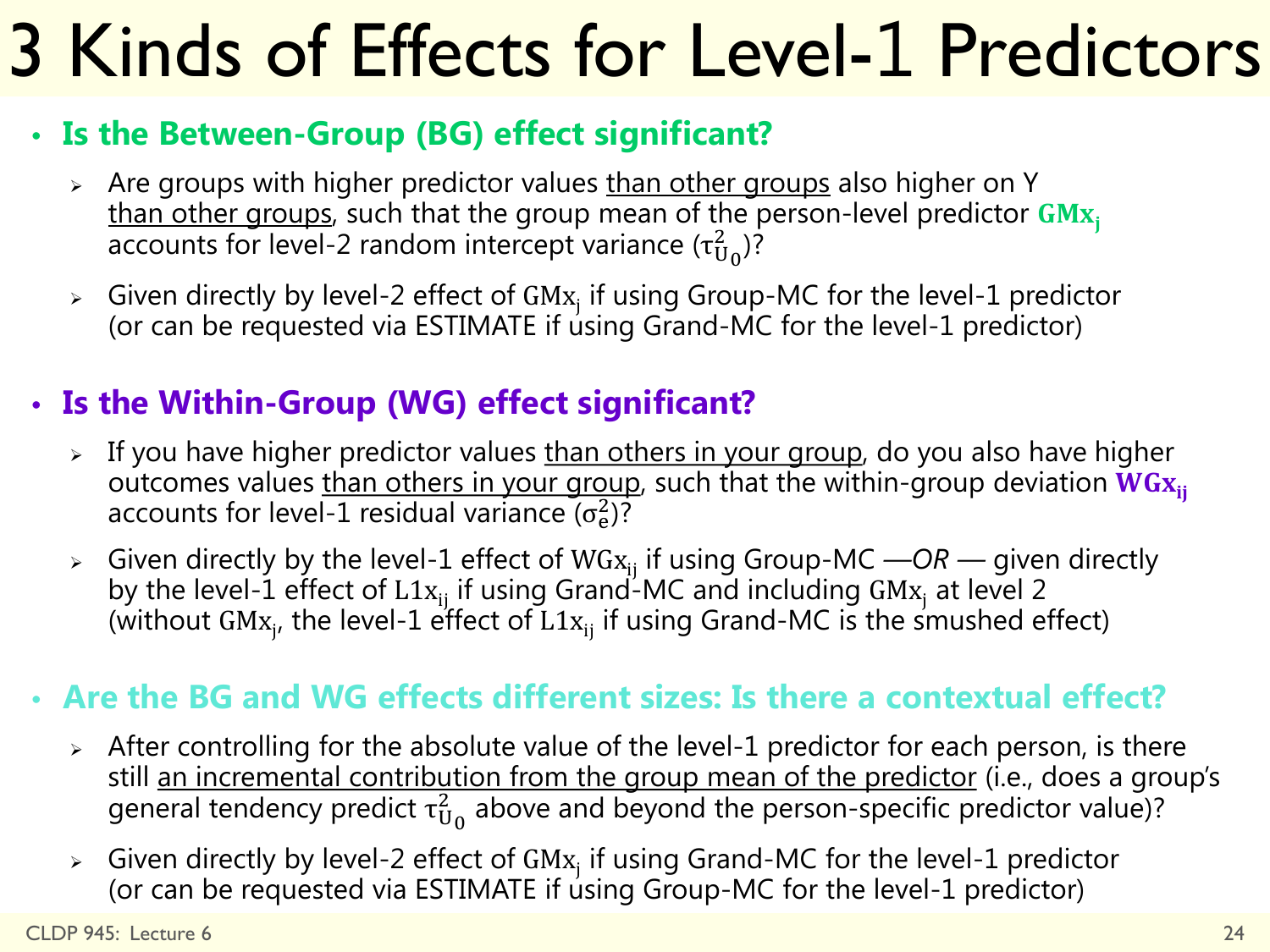# 3 Kinds of Effects for Level-1 Predictors

#### • **Is the Between-Group (BG) effect significant?**

- $\geq$  Are groups with higher predictor values than other groups also higher on Y than other groups, such that the group mean of the person-level predictor  $GMx_i$ accounts for level-2 random intercept variance ( $\tau^2_{{\rm U}_0}$ )?
- $\triangleright$  Given directly by level-2 effect of GMx<sub>j</sub> if using Group-MC for the level-1 predictor (or can be requested via ESTIMATE if using Grand-MC for the level-1 predictor)

#### • **Is the Within-Group (WG) effect significant?**

- $\geq$  If you have higher predictor values than others in your group, do you also have higher outcomes values than others in your group, such that the within-group deviation  $WG_{X_{ii}}$ accounts for level-1 residual variance ( $\sigma_e^2$ )?
- > Given directly by the level-1 effect of WGx<sub>ij</sub> if using Group-MC —OR given directly by the level-1 effect of  $L1x_{ij}$  if using Grand-MC and including GM $x_j$  at level 2 (without GM $x_{j'}$  the level-1 effect of L1 $x_{ij}$  if using Grand-MC is the smushed effect)

#### • **Are the BG and WG effects different sizes: Is there a contextual effect?**

- $\geq$  After controlling for the absolute value of the level-1 predictor for each person, is there still <u>an incremental contribution from the group mean of the predictor</u> (i.e., does a group's general tendency predict  $\tau^2_{\mathrm{U}_0}$  above and beyond the person-specific predictor value)?
- $\triangleright$  Given directly by level-2 effect of GMx<sub>j</sub> if using Grand-MC for the level-1 predictor (or can be requested via ESTIMATE if using Group-MC for the level-1 predictor)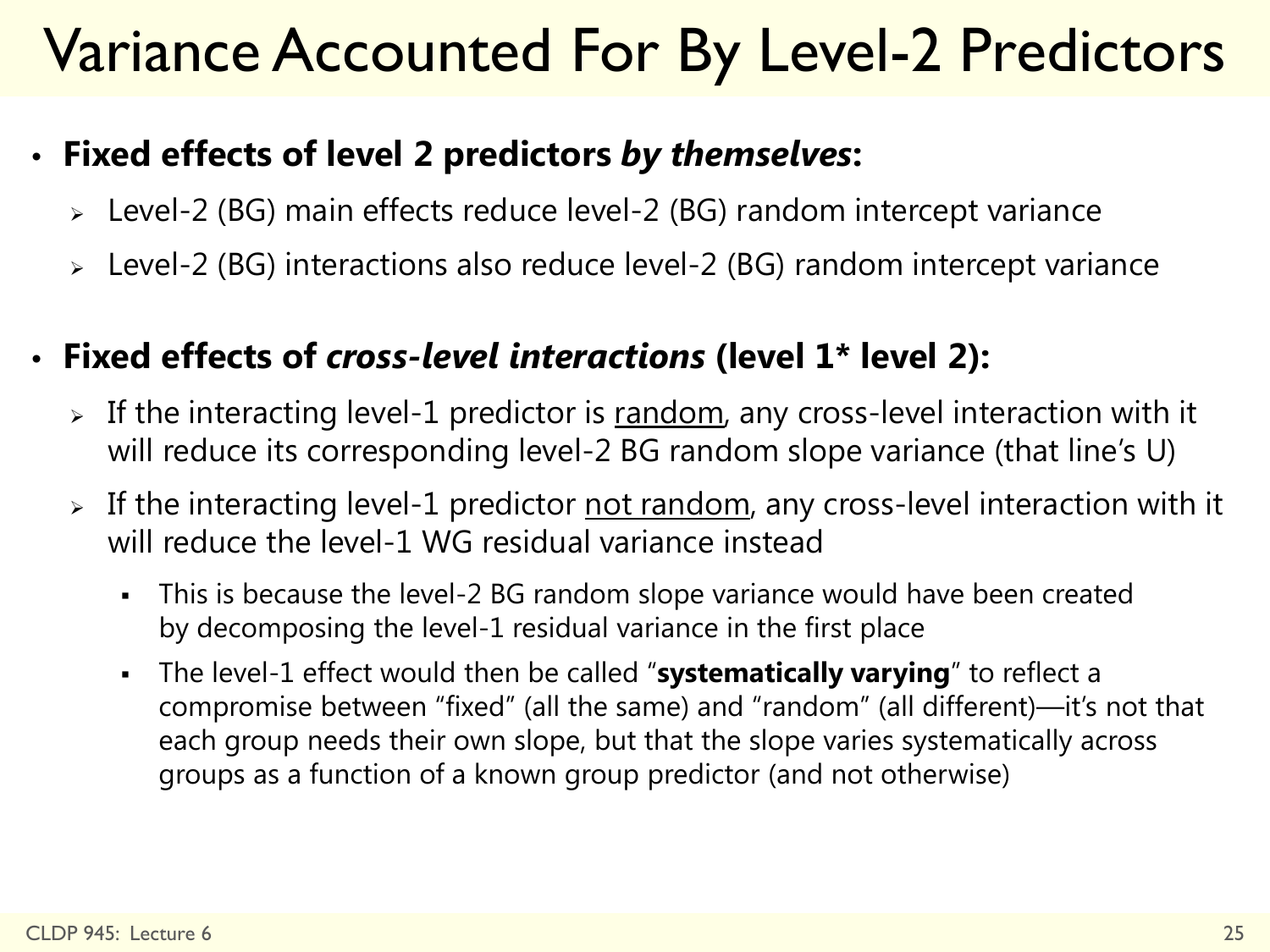### Variance Accounted For By Level-2 Predictors

#### • **Fixed effects of level 2 predictors** *by themselves***:**

- Level-2 (BG) main effects reduce level-2 (BG) random intercept variance
- Level-2 (BG) interactions also reduce level-2 (BG) random intercept variance

#### • **Fixed effects of** *cross-level interactions* **(level 1\* level 2):**

- $\triangleright$  If the interacting level-1 predictor is random, any cross-level interaction with it will reduce its corresponding level-2 BG random slope variance (that line's U)
- > If the interacting level-1 predictor not random, any cross-level interaction with it will reduce the level-1 WG residual variance instead
	- This is because the level-2 BG random slope variance would have been created by decomposing the level-1 residual variance in the first place
	- The level-1 effect would then be called "**systematically varying**" to reflect a compromise between "fixed" (all the same) and "random" (all different)—it's not that each group needs their own slope, but that the slope varies systematically across groups as a function of a known group predictor (and not otherwise)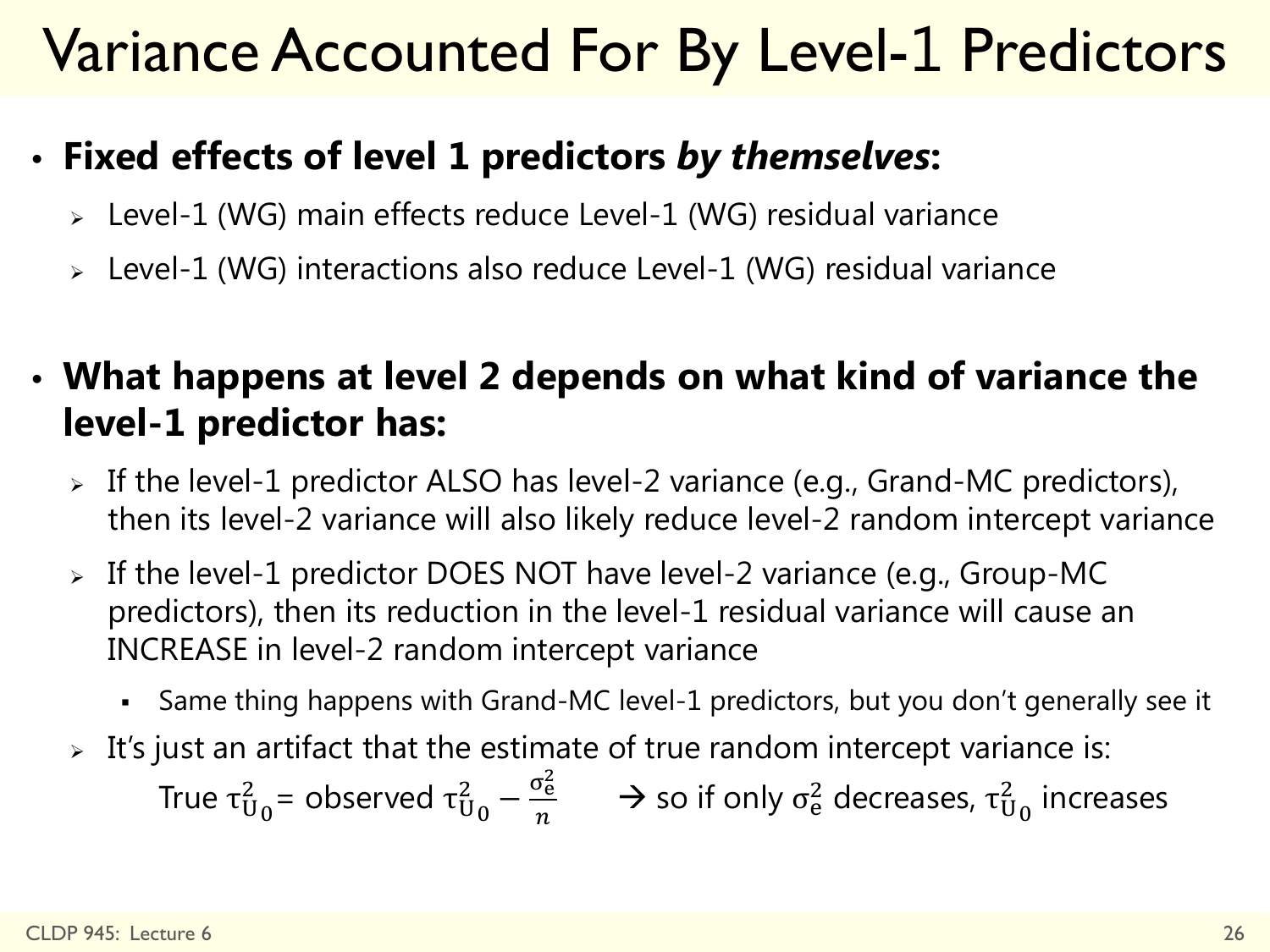### Variance Accounted For By Level-1 Predictors

#### • **Fixed effects of level 1 predictors** *by themselves***:**

- Level-1 (WG) main effects reduce Level-1 (WG) residual variance
- Level-1 (WG) interactions also reduce Level-1 (WG) residual variance

• **What happens at level 2 depends on what kind of variance the level-1 predictor has:**

- $\triangleright$  If the level-1 predictor ALSO has level-2 variance (e.g., Grand-MC predictors), then its level-2 variance will also likely reduce level-2 random intercept variance
- $\triangleright$  If the level-1 predictor DOES NOT have level-2 variance (e.g., Group-MC predictors), then its reduction in the level-1 residual variance will cause an INCREASE in level-2 random intercept variance
	- Same thing happens with Grand-MC level-1 predictors, but you don't generally see it
- $\triangleright$  It's just an artifact that the estimate of true random intercept variance is:

True τ $_{0}^{2}$  = observed τ $_{0}^{2}$  –  $\frac{\sigma_{e}^{2}}{n}$  $\frac{\sigma_{\rm e}}{n}$   $\rightarrow$  so if only  $\sigma_{\rm e}^2$  decreases,  $\tau_{\rm U_0}^2$  increases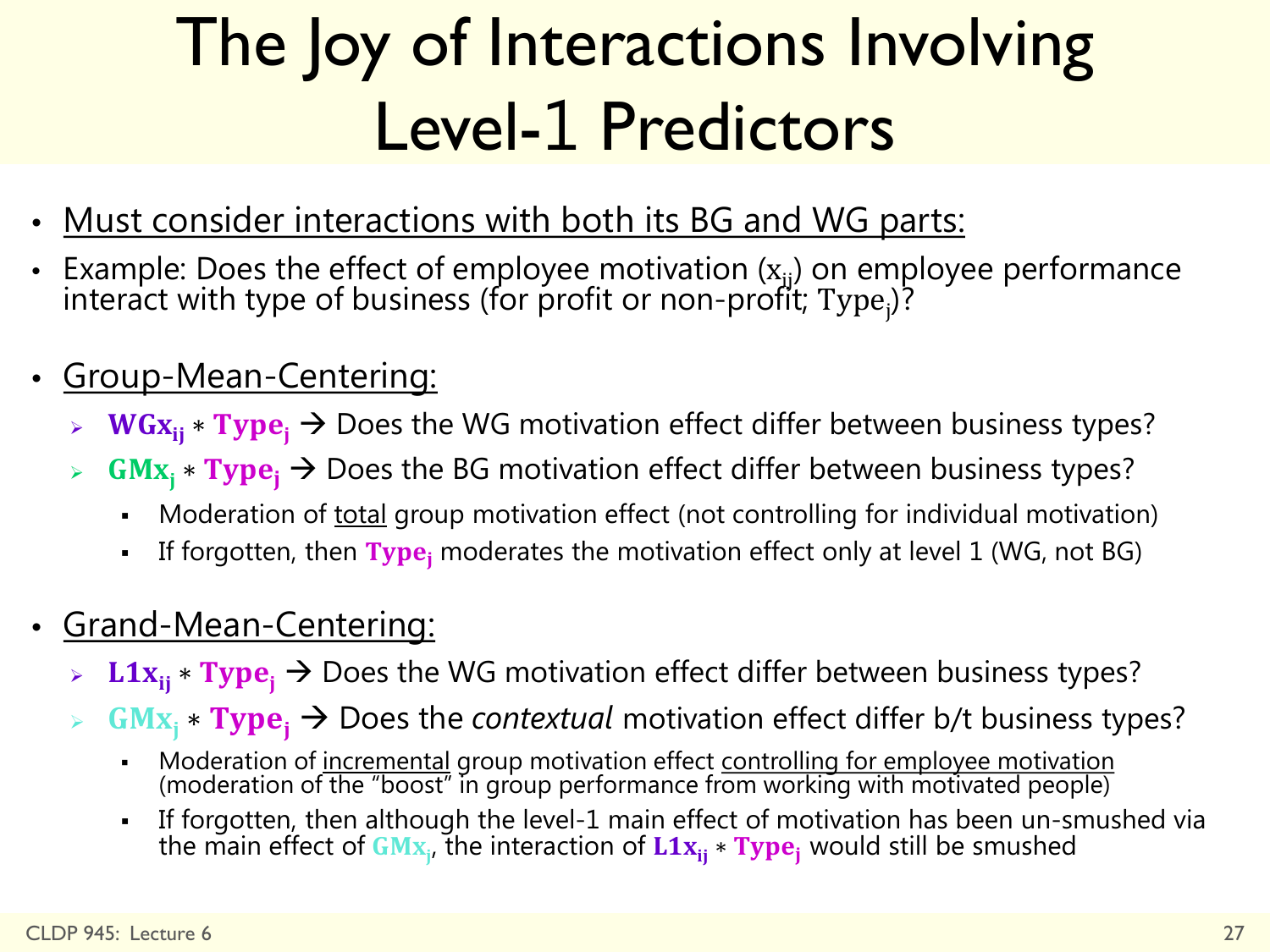## The Joy of Interactions Involving Level-1 Predictors

- Must consider interactions with both its BG and WG parts:
- Example: Does the effect of employee motivation  $(x_{ij})$  on employee performance<br>interact with type of business (for profit or non-profit; Type<sub>j</sub>)?
- Group-Mean-Centering:
	- $WGx_{ii} * Type_i \rightarrow$  Does the WG motivation effect differ between business types?
	- <sup>►</sup> GMx<sub>i</sub> \* Type<sub>i</sub> → Does the BG motivation effect differ between business types?
		- Moderation of total group motivation effect (not controlling for individual motivation)
		- If forgotten, then  $Type_i$  moderates the motivation effect only at level 1 (WG, not BG)
- Grand-Mean-Centering:
	- **L1x**<sub>ii</sub>  $\star$  **Type**<sub>i</sub> → Does the WG motivation effect differ between business types?
	- $GMx_i$  **\* Type**<sub>i</sub> → Does the *contextual* motivation effect differ b/t business types?
		- Moderation of incremental group motivation effect controlling for employee motivation (moderation of the "boost" in group performance from working with motivated people)
		- If forgotten, then although the level-1 main effect of motivation has been un-smushed via the main effect of  $\mathbf{G}\mathbf{M}\mathbf{x}_{\mathsf{j}}$ , the interaction of  $\mathbf{L}\mathbf{1}\mathbf{x}_{\mathsf{ij}}* \mathbf{T}\mathbf{y}\mathbf{p}\mathbf{e}_{\mathsf{j}}$  would still be smushed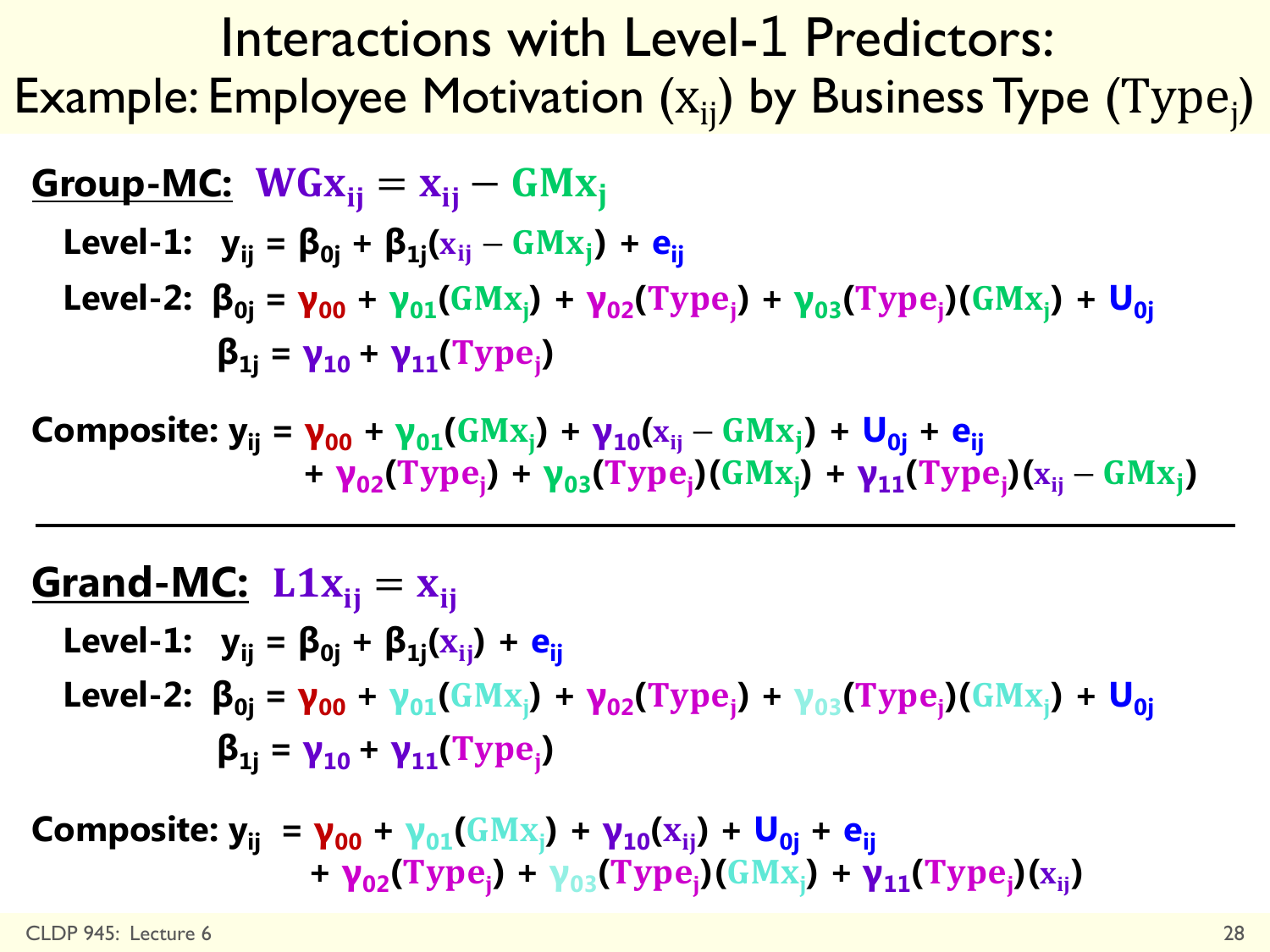Interactions with Level-1 Predictors: Example: Employee Motivation  $(x_{ij})$  by Business Type  $(Type_j)$ 

**Group-MC:** 
$$
WGx_{ij} = x_{ij} - GMx_j
$$

\nLevel-1:  $y_{ij} = \beta_{0j} + \beta_{1j}(x_{ij} - GMx_j) + e_{ij}$ 

\nLevel-2:  $\beta_{0j} = \gamma_{00} + \gamma_{01}(GMx_j) + \gamma_{02}(Type_j) + \gamma_{03}(Type_j)(GMx_j) + U_{0j}$ 

\n $\beta_{1j} = \gamma_{10} + \gamma_{11}(Type_j)$ 

 $\bf{Complex}$  **Composite:**  $y_{ij} = \gamma_{00} + \gamma_{01} (G M x_j) + \gamma_{10} (x_{ij} - G M x_j) + \bf{U}_{0j} + \bf{e}_{ij}$  $+ \gamma_{02}(\text{Type}_j) + \gamma_{03}(\text{Type}_j)(\text{GMx}_j) + \gamma_{11}(\text{Type}_j)(\text{x}_i - \text{GMx}_j)$ 

#### **<u>Grand-MC:**</u>  $L1x_{ii} = x_{ii}$

**Level-1:**  $y_{ij} = \beta_{0j} + \beta_{1j}(x_{ij}) + e_{ij}$ **Level-2:**  $\beta_{0j} = \gamma_{00} + \gamma_{01}(GMx_j) + \gamma_{02}(Type_j) + \gamma_{03}(Type_j)(GMx_j) + U_{0j}$  $\beta_{1j} = \gamma_{10} + \gamma_{11}(\text{Type}_j)$ 

**Composite:**  $y_{ij} = y_{00} + y_{01}(GMx_j) + y_{10}(x_{ij}) + U_{0j} + e_{ij}$  $+ \gamma_{02}(\text{Type}_j) + \gamma_{03}(\text{Type}_j)(\text{GMx}_j) + \gamma_{11}(\text{Type}_j)(\text{x}_{ij})$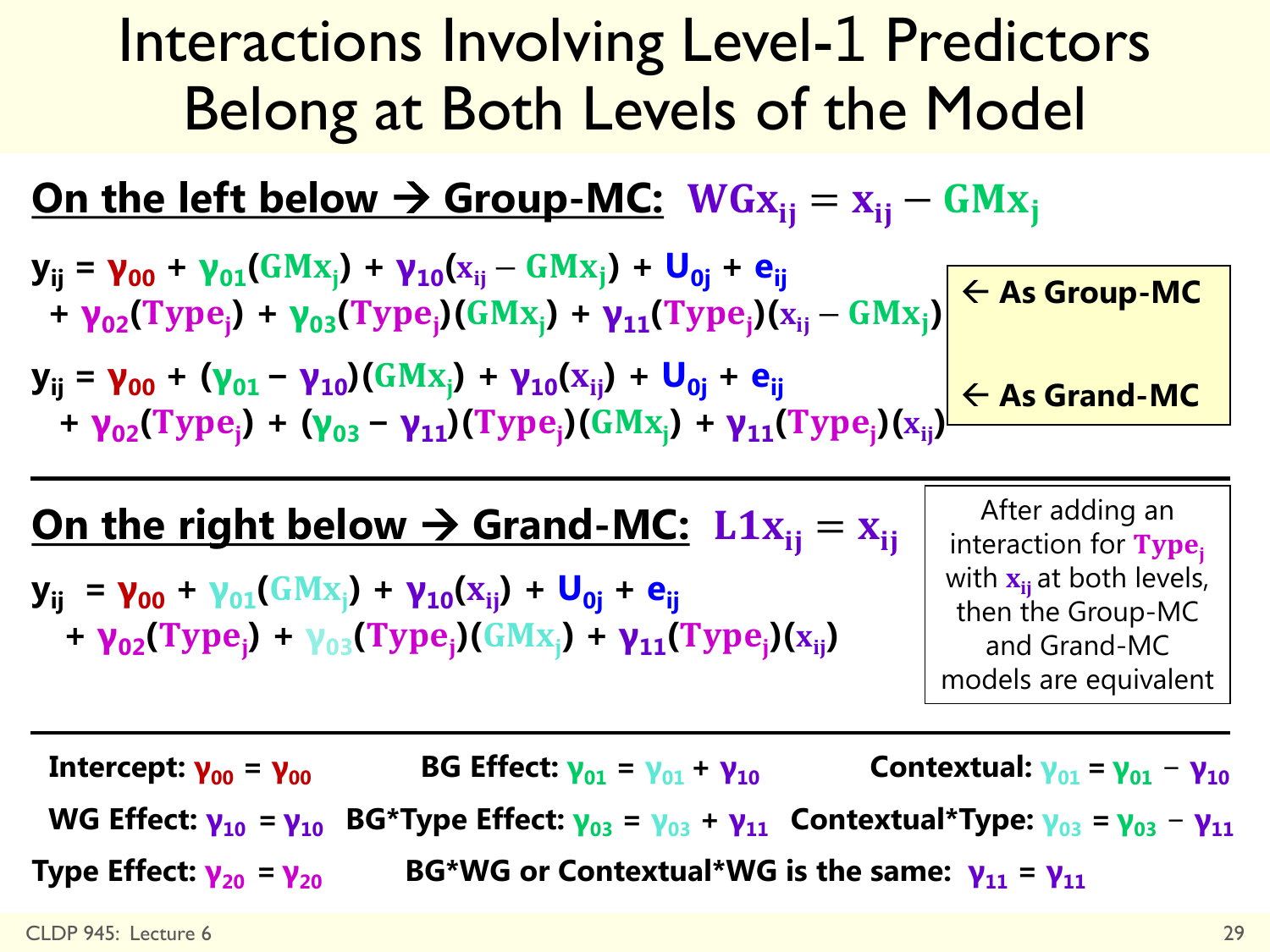### Interactions Involving Level-1 Predictors Belong at Both Levels of the Model

#### **<u>On the left below**  $\rightarrow$  **Group-MC:</u>**  $WG_{X_{ij}} = x_{ij} - G M x_{ji}$

$$
y_{ij} = \gamma_{00} + \gamma_{01}(GMx_{j}) + \gamma_{10}(x_{ij} - GMx_{j}) + U_{0j} + e_{ij}
$$
  
+  $\gamma_{02}(Type_{j}) + \gamma_{03}(Type_{j})(GMx_{j}) + \gamma_{11}(Type_{j})(x_{ij} - GMx_{j})$   $\leftarrow$  As Group-MC

**yij = γ<sup>00</sup> + (γ01 − γ10)( ) + γ10( ) + U0j + eij +**  $\gamma_{02}(\text{Type}_j) + (\gamma_{03} - \gamma_{11})(\text{Type}_j)(GMx_j) + \gamma_{11}(\text{Type}_j)(x_{ij})$ **As Grand-MC**

#### **<u>On the right below**  $\rightarrow$  **Grand-MC:**  $\text{L1x}_{ii} = x_{ii}$ </u>

**yij = γ<sup>00</sup> + γ01( ) + γ10( ) + U0j + eij**  $+ \gamma_{02}(\text{Type}_j) + \gamma_{03}(\text{Type}_j)(\text{GMx}_j) + \gamma_{11}(\text{Type}_j)(\text{x}_{ij})$ 

After adding an interaction for  $Type_i$ with  $x_{ii}$  at both levels, then the Group-MC and Grand-MC models are equivalent

Intercept:  $\gamma_{00} = \gamma_{00}$  BG Effect:  $\gamma_{01} = \gamma_{01} + \gamma_{10}$  Contextual:  $\gamma_{01} = \gamma_{01} - \gamma_{10}$ WG Effect:  $\mathbf{v}_{10} = \mathbf{v}_{10}$  BG\*Type Effect:  $\mathbf{v}_{03} = \mathbf{v}_{03} + \mathbf{v}_{11}$  Contextual\*Type:  $\mathbf{v}_{03} = \mathbf{v}_{03} - \mathbf{v}_{11}$ **Type Effect:**  $\mathbf{v}_{20} = \mathbf{v}_{20}$  **<b>BG\*WG or Contextual\*WG is the same:**  $\mathbf{v}_{11} = \mathbf{v}_{11}$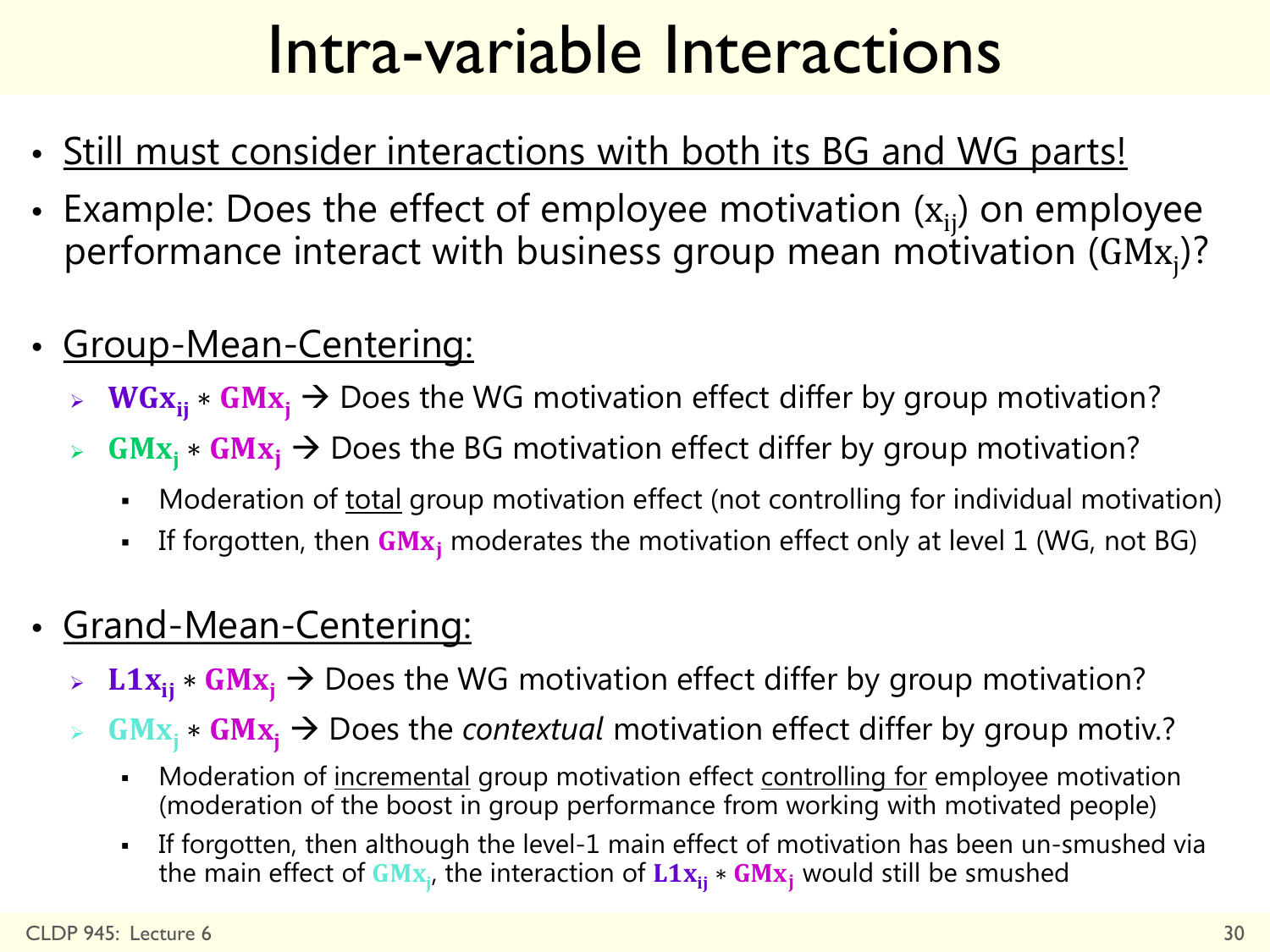### Intra-variable Interactions

- Still must consider interactions with both its BG and WG parts!
- Example: Does the effect of employee motivation  $(x_{ii})$  on employee performance interact with business group mean motivation (GM $\mathrm{x_{j}}$ )?
- Group-Mean-Centering:
	- $WGx_{ii} * GMx_i \rightarrow$  Does the WG motivation effect differ by group motivation?
	- $GMx_i * GMx_i \rightarrow$  Does the BG motivation effect differ by group motivation?
		- Moderation of total group motivation effect (not controlling for individual motivation)
		- If forgotten, then  $GMx_i$  moderates the motivation effect only at level 1 (WG, not BG)
- Grand-Mean-Centering:
	- **L1x**<sub>ii</sub>  $\star$  **GMx**<sub>i</sub> → Does the WG motivation effect differ by group motivation?
	- $GMx_i * GMx_i \rightarrow$  Does the *contextual* motivation effect differ by group motiv.?
		- Moderation of incremental group motivation effect controlling for employee motivation (moderation of the boost in group performance from working with motivated people)
		- If forgotten, then although the level-1 main effect of motivation has been un-smushed via the main effect of  $\mathbf{GMx}_{\mathsf{j}},$  the interaction of  $\mathbf{L1x}_{\mathsf{ij}} * \mathbf{GMx}_{\mathsf{j}}$  would still be smushed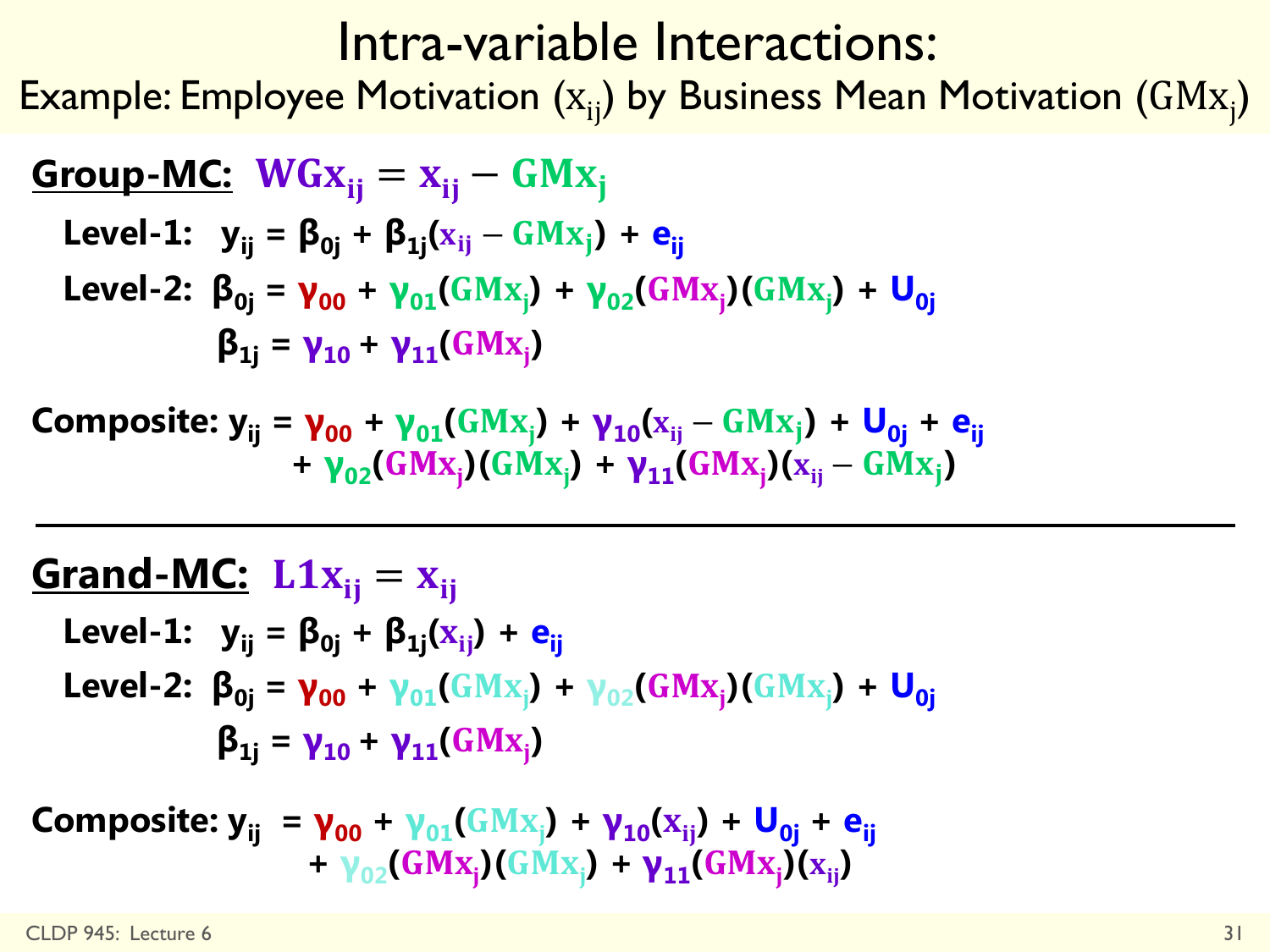#### Intra-variable Interactions:

Example: Employee Motivation  $(x_{ij})$  by Business Mean Motivation  $(GMx_{j})$ 

**Group-MC:** 
$$
WGx_{ij} = x_{ij} - GMx_j
$$

\nLevel-1:  $y_{ij} = \beta_{0j} + \beta_{1j}(x_{ij} - GMx_j) + e_{ij}$ 

\nLevel-2:  $\beta_{0j} = \gamma_{00} + \gamma_{01}(GMx_j) + \gamma_{02}(GMx_j)(GMx_j) + U_{0j}$ 

\n $\beta_{1j} = \gamma_{10} + \gamma_{11}(GMx_j)$ 

**Composite:**  $y_{ij} = y_{00} + y_{01}(GMx_j) + y_{10}(x_{ij} - GMx_j) + U_{0j} + e_{ij}$  $+ \gamma_{02} (GMx_j) (GMx_j) + \gamma_{11} (GMx_j) (x_{ij} - GMx_j)$ 

#### **<u>Grand-MC:**</u>  $L1x_{ij} = x_{ij}$

**Level-1:**  $y_{ij} = \beta_{0j} + \beta_{1j}(x_{ij}) + e_{ij}$ **Level-2:**  $\beta_{0j} = \gamma_{00} + \gamma_{01}(GMx_j) + \gamma_{02}(GMx_j)(GMx_j) + U_{0j}$  $\beta_{1j} = \gamma_{10} + \gamma_{11} (G M x_j)$ 

**Composite:**  $y_{ij} = y_{00} + y_{01}(GMx_j) + y_{10}(x_{ij}) + U_{0j} + e_{ij}$  $+ \gamma_{02} (GMx_j) (GMx_j) + \gamma_{11} (GMx_j) (x_{ij})$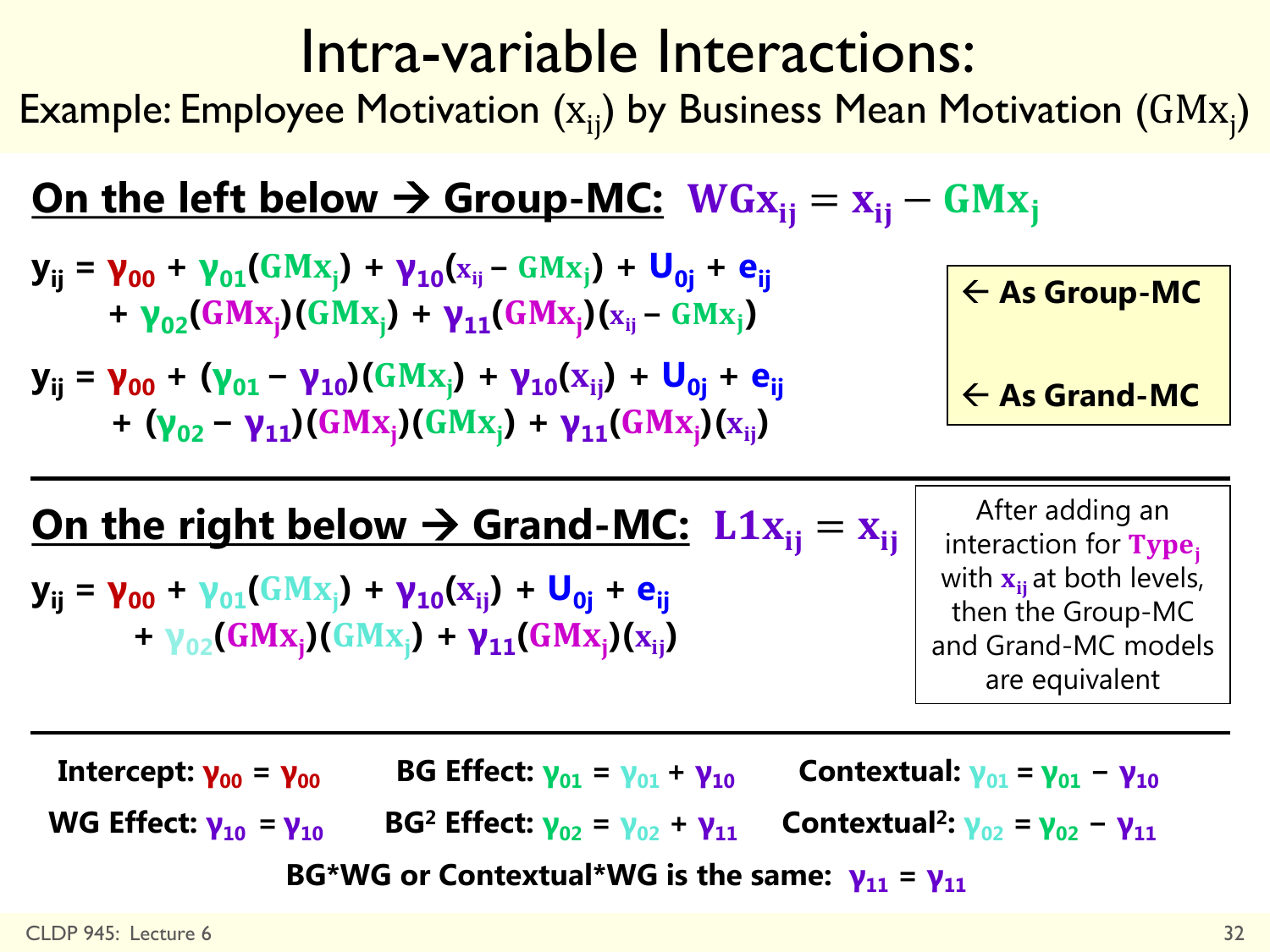### Intra-variable Interactions:

Example: Employee Motivation  $(x_{ij})$  by Business Mean Motivation  $(GMx_{j})$ 

#### **<u>On the left below**  $\rightarrow$  **Group-MC:</u>**  $WG_{X_{ij}} = x_{ij} - G M x_{ji}$

$$
y_{ij} = \gamma_{00} + \gamma_{01}(GMx_{j}) + \gamma_{10}(x_{ij} - GMx_{j}) + U_{0j} + e_{ij} + \gamma_{02}(GMx_{j})(GMx_{j}) + \gamma_{11}(GMx_{j})(x_{ij} - GMx_{j})
$$

**yij = γ<sup>00</sup> + (γ01 − γ10)( ) + γ10( ) + U0j + eij** +  $(\gamma_{02} - \gamma_{11})(GMx_j)(GMx_j) + \gamma_{11}(GMx_j)(x_{ij})$ 

 **As Group-MC As Grand-MC**

#### **<u>On the right below**  $\rightarrow$  **Grand-MC:**  $\text{L1x}_{ii} = x_{ii}$ </u>

**yij = γ<sup>00</sup> + γ01( ) + γ10( ) + U0j + eij**  $+ \gamma_{02} (GMx_j) (GMx_j) + \gamma_{11} (GMx_j) (x_{ij})$ 

After adding an interaction for Type<sub>i</sub> with  $x_{ii}$  at both levels, then the Group-MC and Grand-MC models are equivalent

Intercept:  $\gamma_{00} = \gamma_{00}$  BG Effect:  $\gamma_{01} = \gamma_{01} + \gamma_{10}$  Contextual:  $\gamma_{01} = \gamma_{01} - \gamma_{10}$ WG Effect:  $\mathbf{v}_{10} = \mathbf{v}_{10}$  BG<sup>2</sup> Effect:  $\mathbf{v}_{02} = \mathbf{v}_{02} + \mathbf{v}_{11}$  Contextual<sup>2</sup>:  $\mathbf{v}_{02} = \mathbf{v}_{02} - \mathbf{v}_{11}$ BG\*WG or Contextual\*WG is the same:  $\gamma_{11} = \gamma_{11}$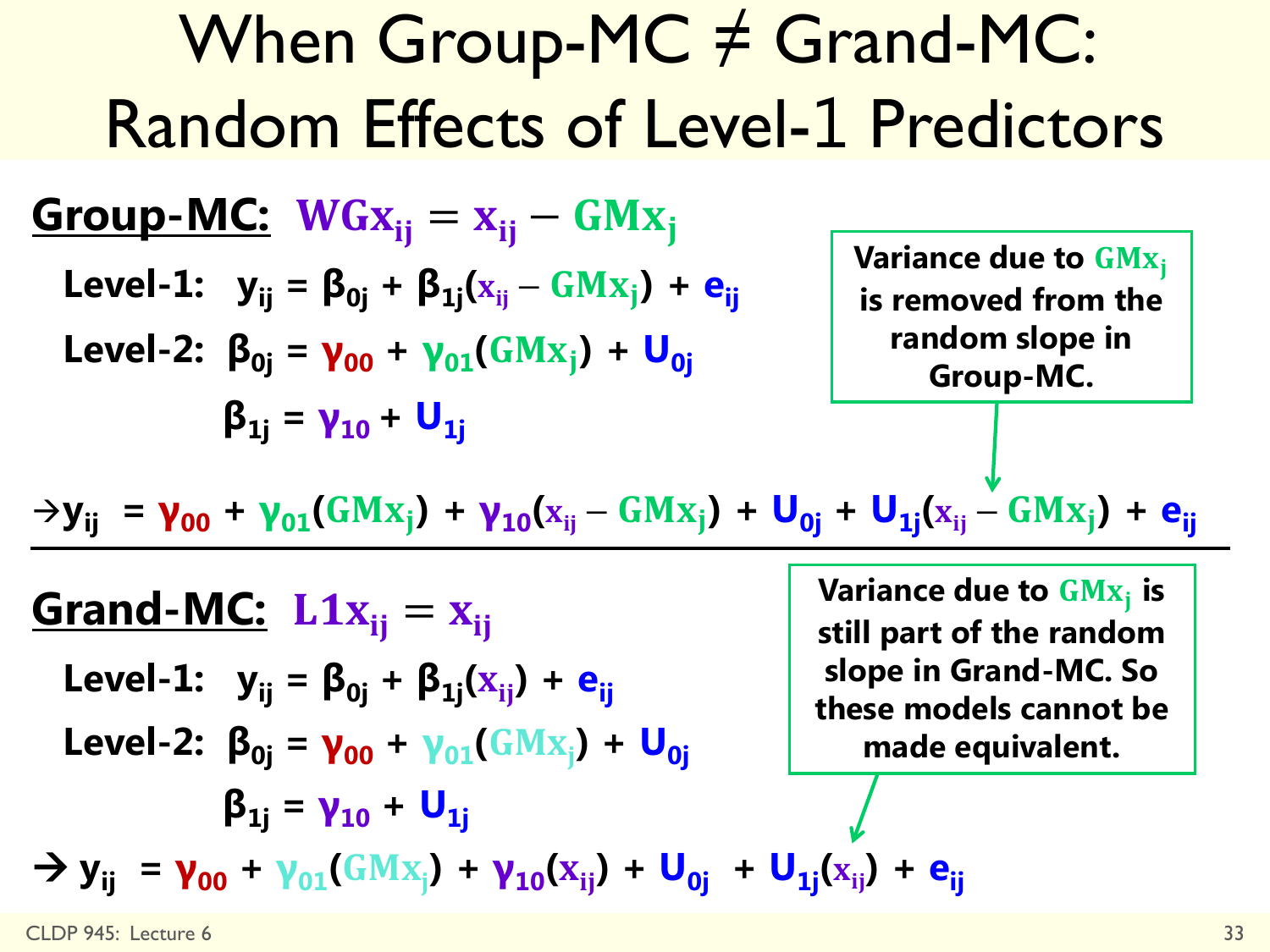| When Group-MC $\neq$ Grand-MC:                                                                                                   |                                                             |                                                                                                                           |
|----------------------------------------------------------------------------------------------------------------------------------|-------------------------------------------------------------|---------------------------------------------------------------------------------------------------------------------------|
| Random Effects of Level-1 Predictors                                                                                             |                                                             |                                                                                                                           |
| Group-MC:                                                                                                                        | $WGx_{ij} = x_{ij} - GMx_j$                                 | $Variance due to GMx_j$                                                                                                   |
| Level-1: $y_{ij} = \beta_{0j} + \beta_{1j}(x_{ij} - GMx_j) + e_{ij}$                                                             | Variance due to GMx_j                                       |                                                                                                                           |
| Level-2: $\beta_{0j} = \gamma_{00} + \gamma_{01}(GMx_j) + U_{0j}$                                                                | Variance due to GMX <sub>i</sub>                            |                                                                                                                           |
| $\beta_{1j} = \gamma_{10} + U_{1j}$                                                                                              | Variance due to GMX <sub>j</sub>                            |                                                                                                                           |
| $\rightarrow y_{ij} = \gamma_{00} + \gamma_{01}(GMx_j) + \gamma_{10}(x_{ij} - GMx_j) + U_{0j} + U_{1j}(x_{ij} - GMx_j) + e_{ij}$ |                                                             |                                                                                                                           |
| Grand-MC:                                                                                                                        | L1x <sub>ij</sub> = x <sub>ij</sub>                         | Variance due to GMX <sub>j</sub> is still part of the random slope in Grad-MC. So these models cannot be made equivalent. |
| Level-2: $\beta_{0j} = \gamma_{00} + \gamma_{01}(GMx_j) + U_{0j}$                                                                | Uose in Grad-MC. So these models cannot be made equivalent. |                                                                                                                           |
| $\beta_{1j} = \gamma_{10} + U_{1j}$                                                                                              | Uose in Grad-MC. So these models cannot be made equivalent. |                                                                                                                           |
| $\beta_{1j} = \gamma_{00} + \gamma_{01}(GMx_j) + \gamma_{10}(x_{ij}) + U_{0j} + U_{1j}(x_{ij}) + e_{ij}$                         |                                                             |                                                                                                                           |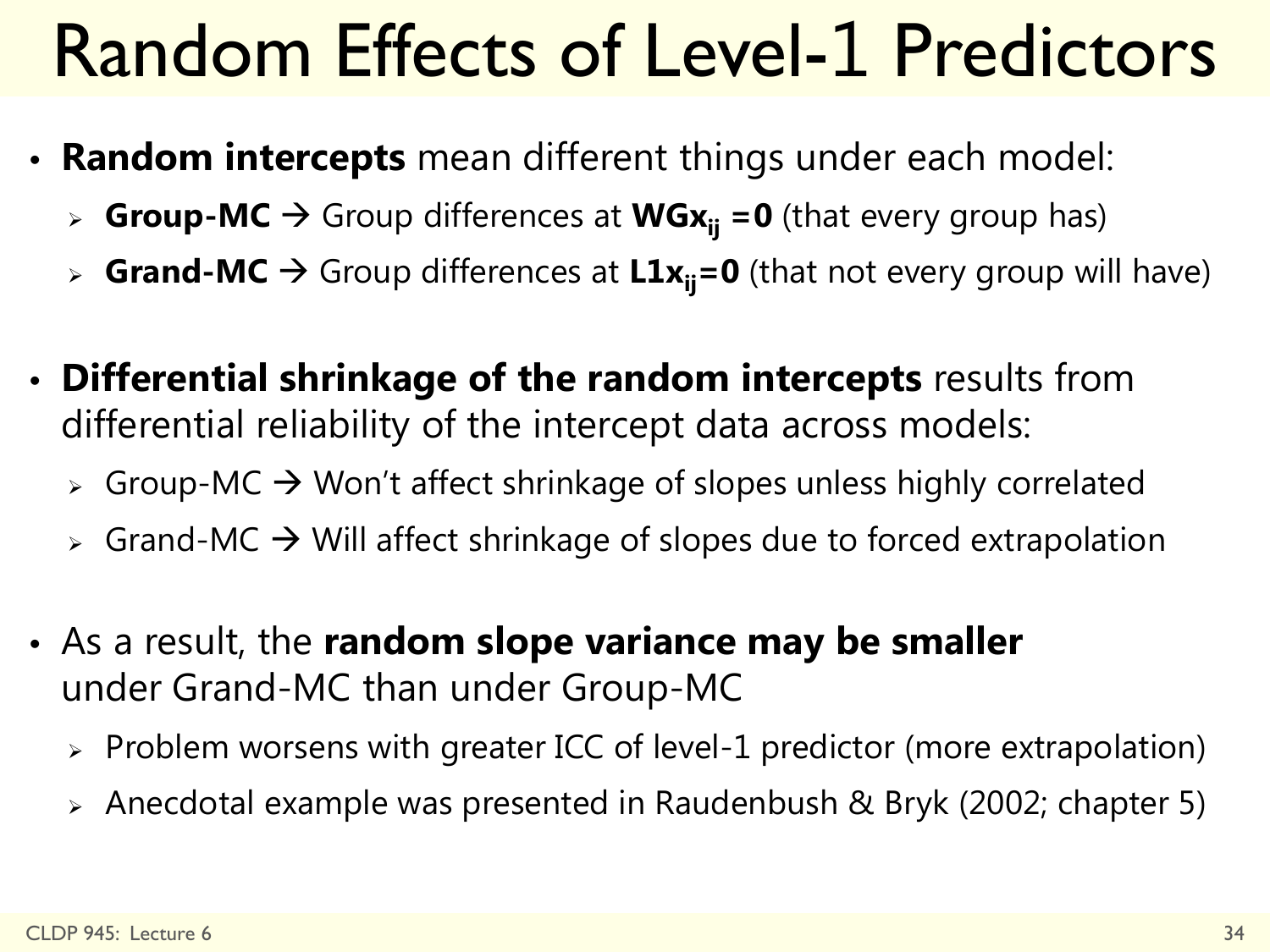## Random Effects of Level-1 Predictors

- **Random intercepts** mean different things under each model:
	- **Group-MC**  $\rightarrow$  Group differences at **WGx**<sub>ii</sub> =0 (that every group has)
	- **Grand-MC**  $\rightarrow$  Group differences at  $\text{L1x}_{ii} = 0$  (that not every group will have)
- **Differential shrinkage of the random intercepts** results from differential reliability of the intercept data across models:
	- $\triangleright$  Group-MC  $\rightarrow$  Won't affect shrinkage of slopes unless highly correlated
	- $\triangleright$  Grand-MC  $\rightarrow$  Will affect shrinkage of slopes due to forced extrapolation
- As a result, the **random slope variance may be smaller** under Grand-MC than under Group-MC
	- $\triangleright$  Problem worsens with greater ICC of level-1 predictor (more extrapolation)
	- Anecdotal example was presented in Raudenbush & Bryk (2002; chapter 5)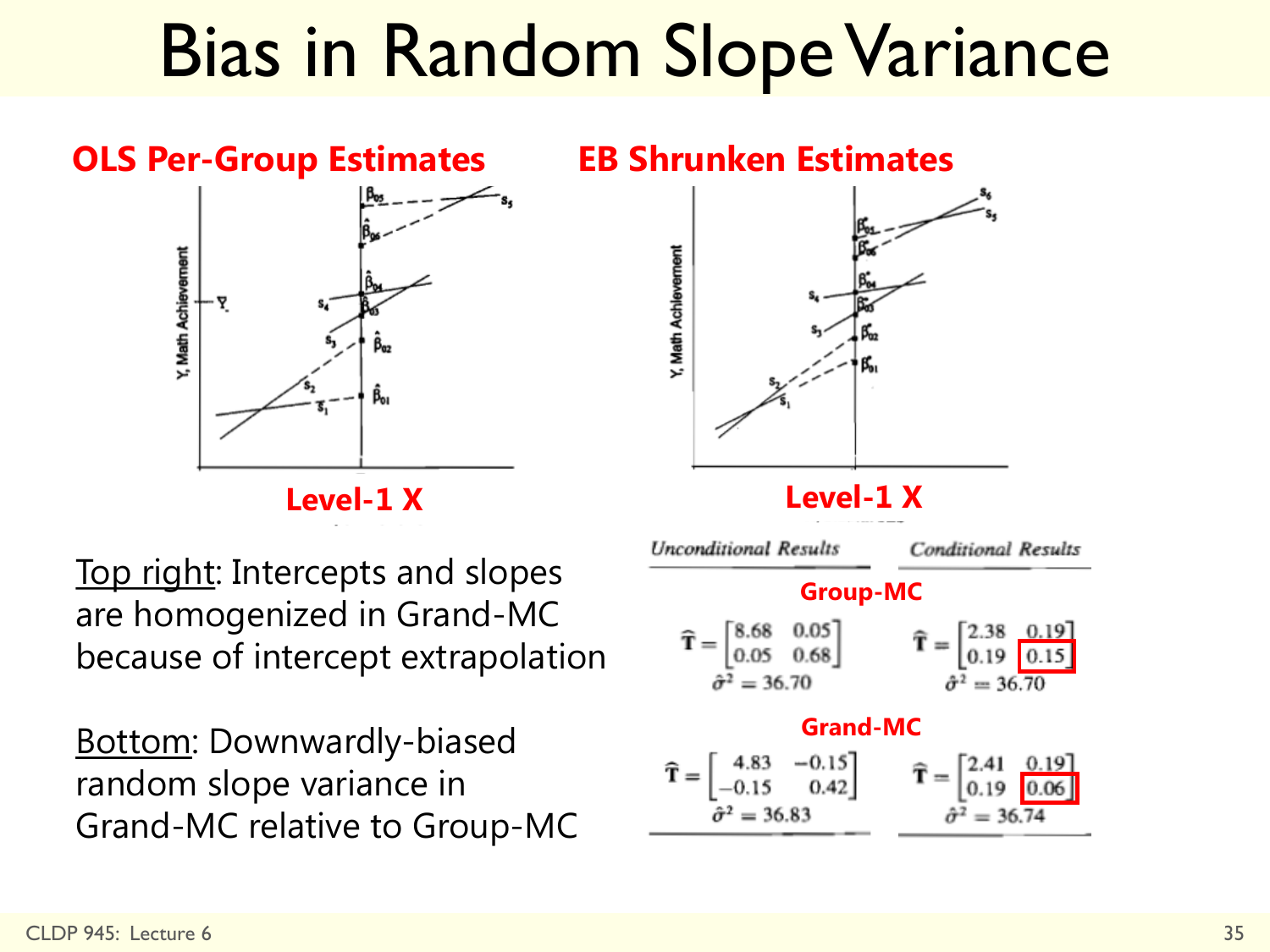## Bias in Random Slope Variance

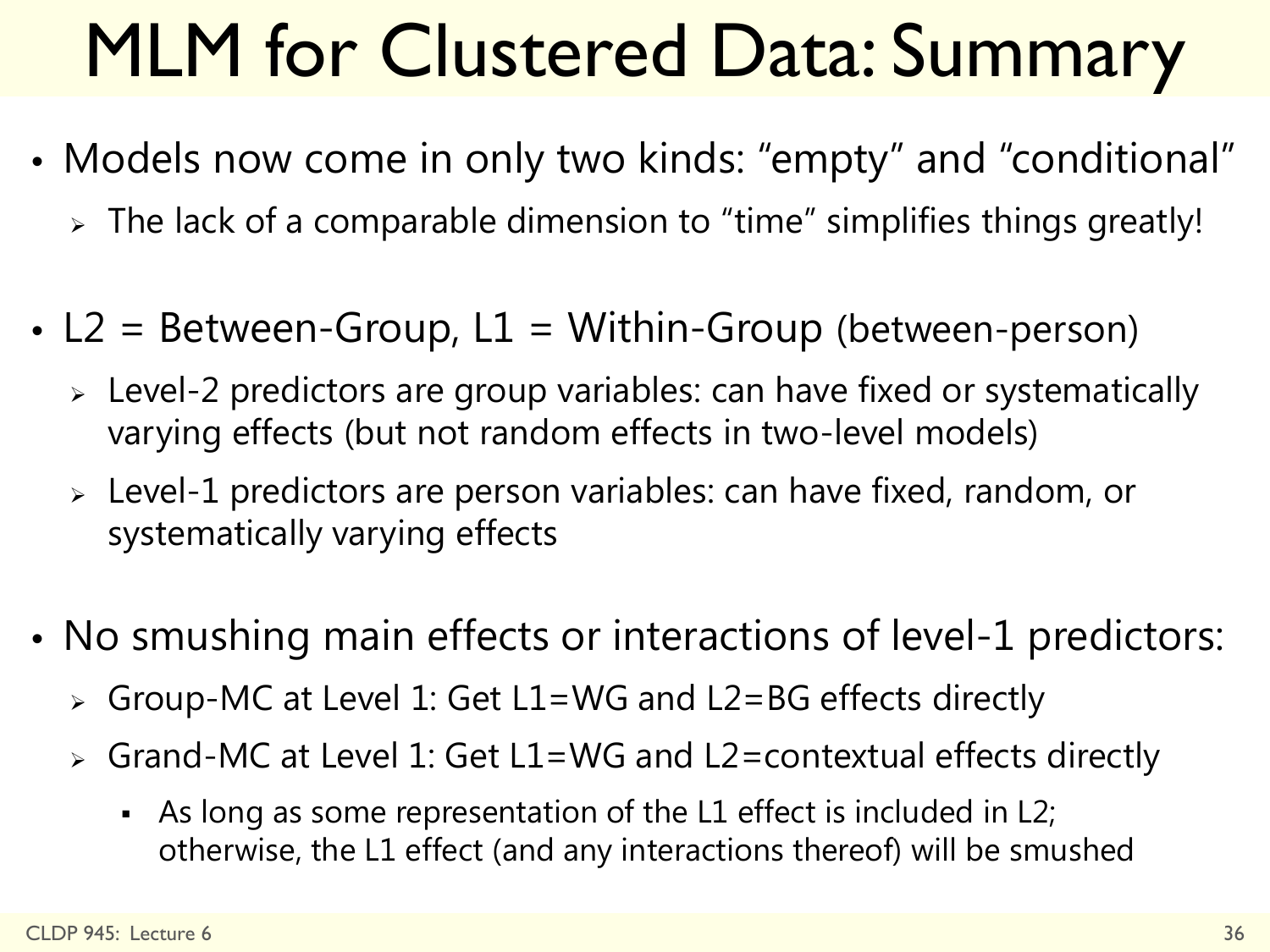# MLM for Clustered Data: Summary

- Models now come in only two kinds: "empty" and "conditional"
	- $\ge$  The lack of a comparable dimension to "time" simplifies things greatly!
- L2 = Between-Group,  $L1 =$  Within-Group (between-person)
	- Level-2 predictors are group variables: can have fixed or systematically varying effects (but not random effects in two-level models)
	- Level-1 predictors are person variables: can have fixed, random, or systematically varying effects
- No smushing main effects or interactions of level-1 predictors:
	- Group-MC at Level 1: Get L1=WG and L2=BG effects directly
	- Grand-MC at Level 1: Get L1=WG and L2=contextual effects directly
		- As long as some representation of the L1 effect is included in L2; otherwise, the L1 effect (and any interactions thereof) will be smushed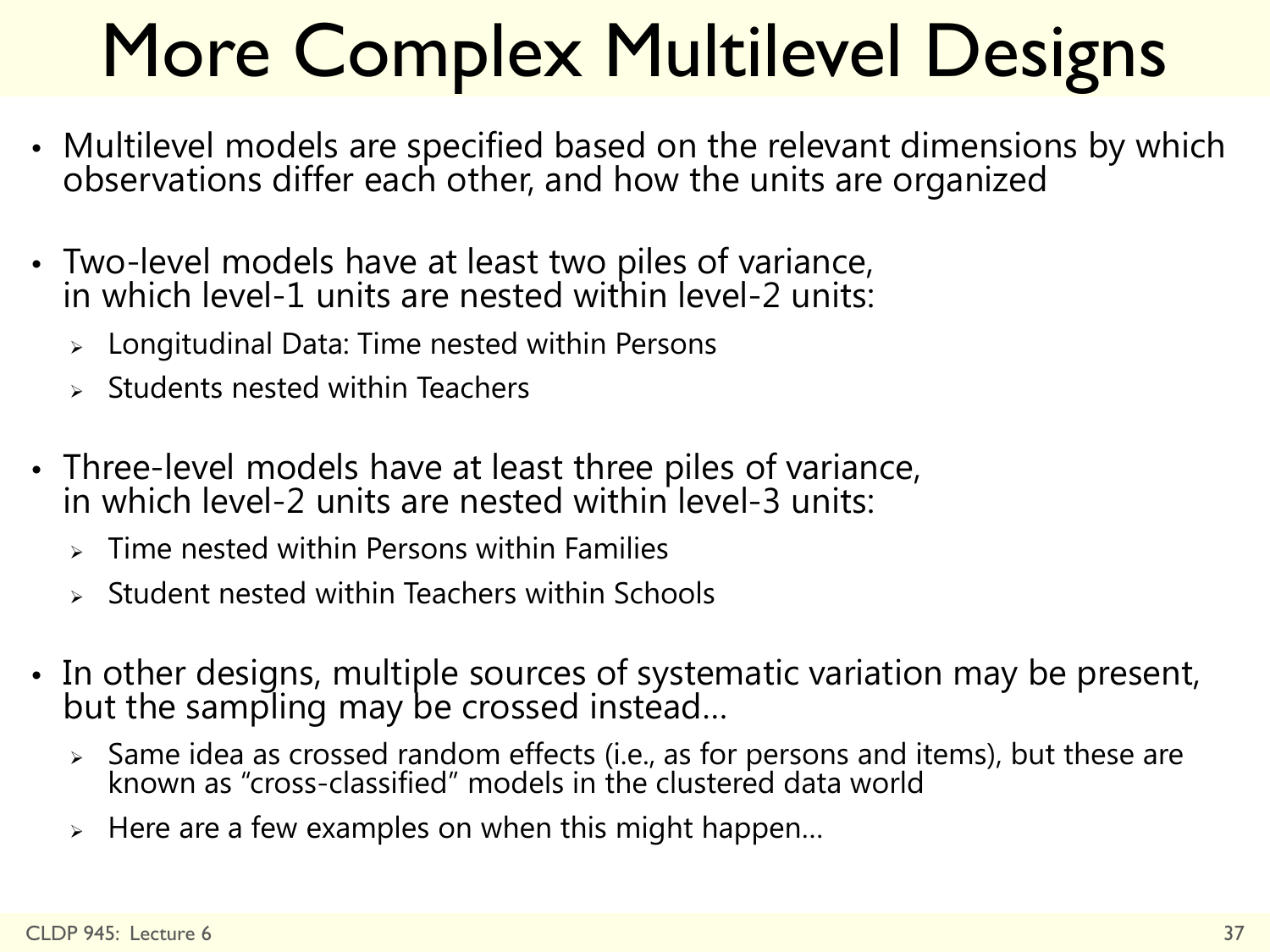# More Complex Multilevel Designs

- Multilevel models are specified based on the relevant dimensions by which observations differ each other, and how the units are organized
- Two-level models have at least two piles of variance, in which level-1 units are nested within level-2 units:
	- $\triangleright$  Longitudinal Data: Time nested within Persons
	- Students nested within Teachers
- Three-level models have at least three piles of variance, in which level-2 units are nested within level-3 units:
	- Time nested within Persons within Families
	- Student nested within Teachers within Schools
- In other designs, multiple sources of systematic variation may be present, but the sampling may be crossed instead...
	- $\triangleright$  Same idea as crossed random effects (i.e., as for persons and items), but these are known as "cross-classified" models in the clustered data world
	- Here are a few examples on when this might happen…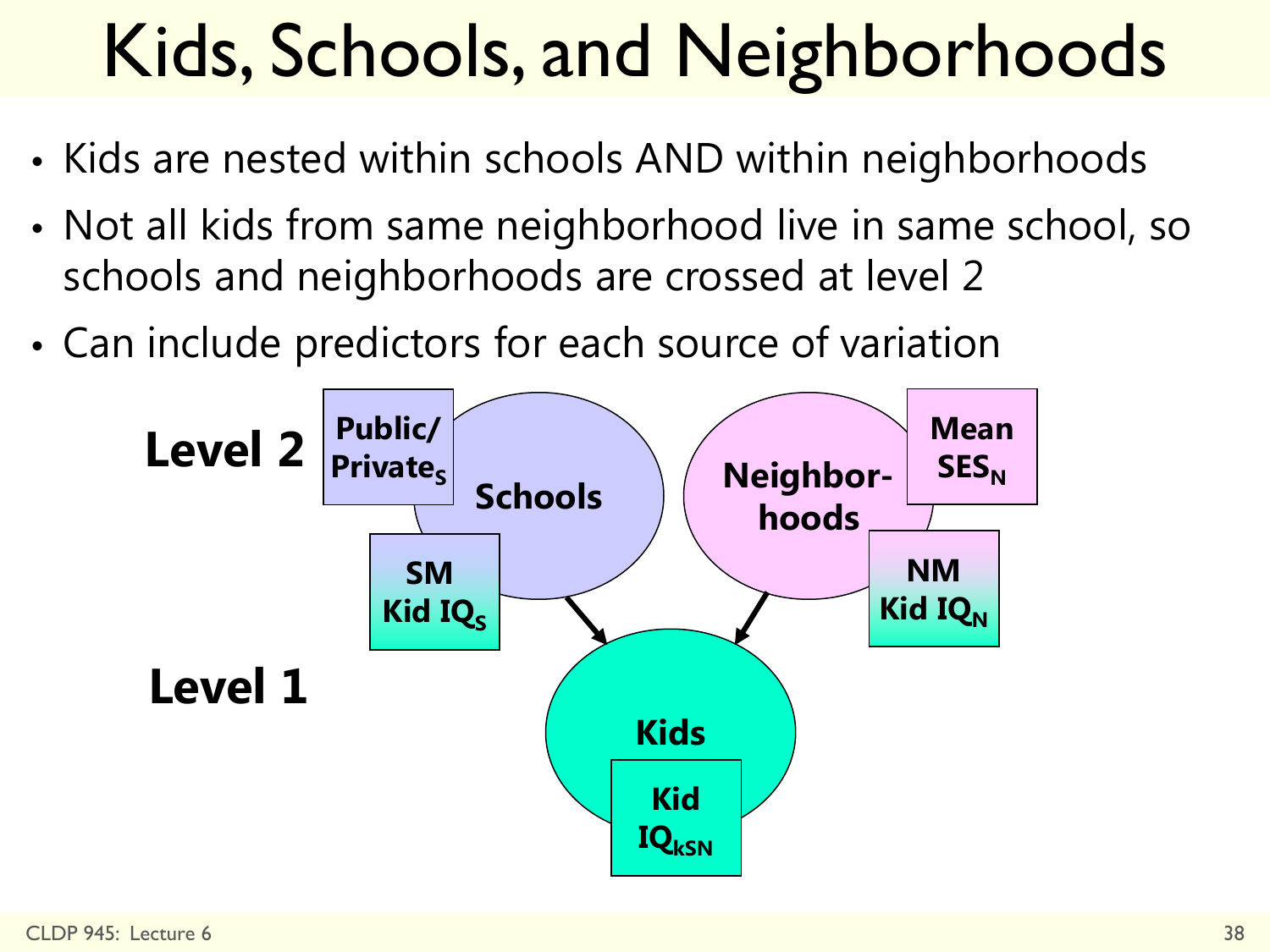# Kids, Schools, and Neighborhoods

- Kids are nested within schools AND within neighborhoods
- Not all kids from same neighborhood live in same school, so schools and neighborhoods are crossed at level 2
- Can include predictors for each source of variation

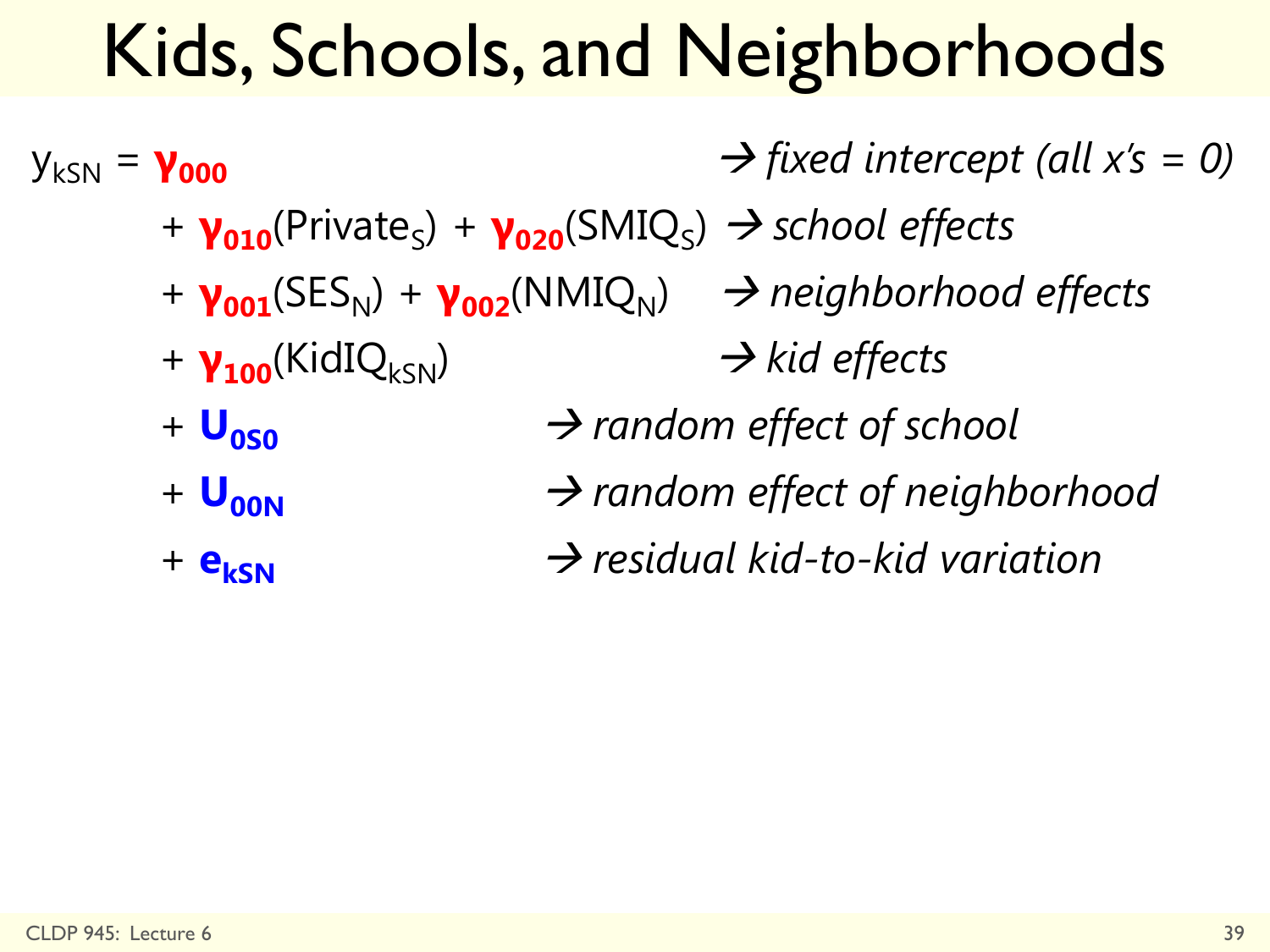## Kids, Schools, and Neighborhoods

 $y_{kSN} = y_{000}$  *d*  $\rightarrow$  *fixed intercept (all x's = 0)* + **γ<sub>010</sub>**(Private<sub>S</sub>) + **γ<sub>020</sub>**(SMIQ<sub>S</sub>) → *school effects* + **γ<sub>001</sub>**(SES<sub>N</sub>) + **γ<sub>002</sub>**(NMIQ<sub>N</sub>) → *neighborhood effects* + **γ<sub>100</sub>**(KidIQ<sub>kSN</sub>) → kid effects  $+$  **U**<sub>nsn</sub>  $\rightarrow$  *random effect of school* +  $U_{\text{non}}$   $\rightarrow$  random effect of neighborhood + **e<sub>kSN</sub>** → *residual kid-to-kid variation*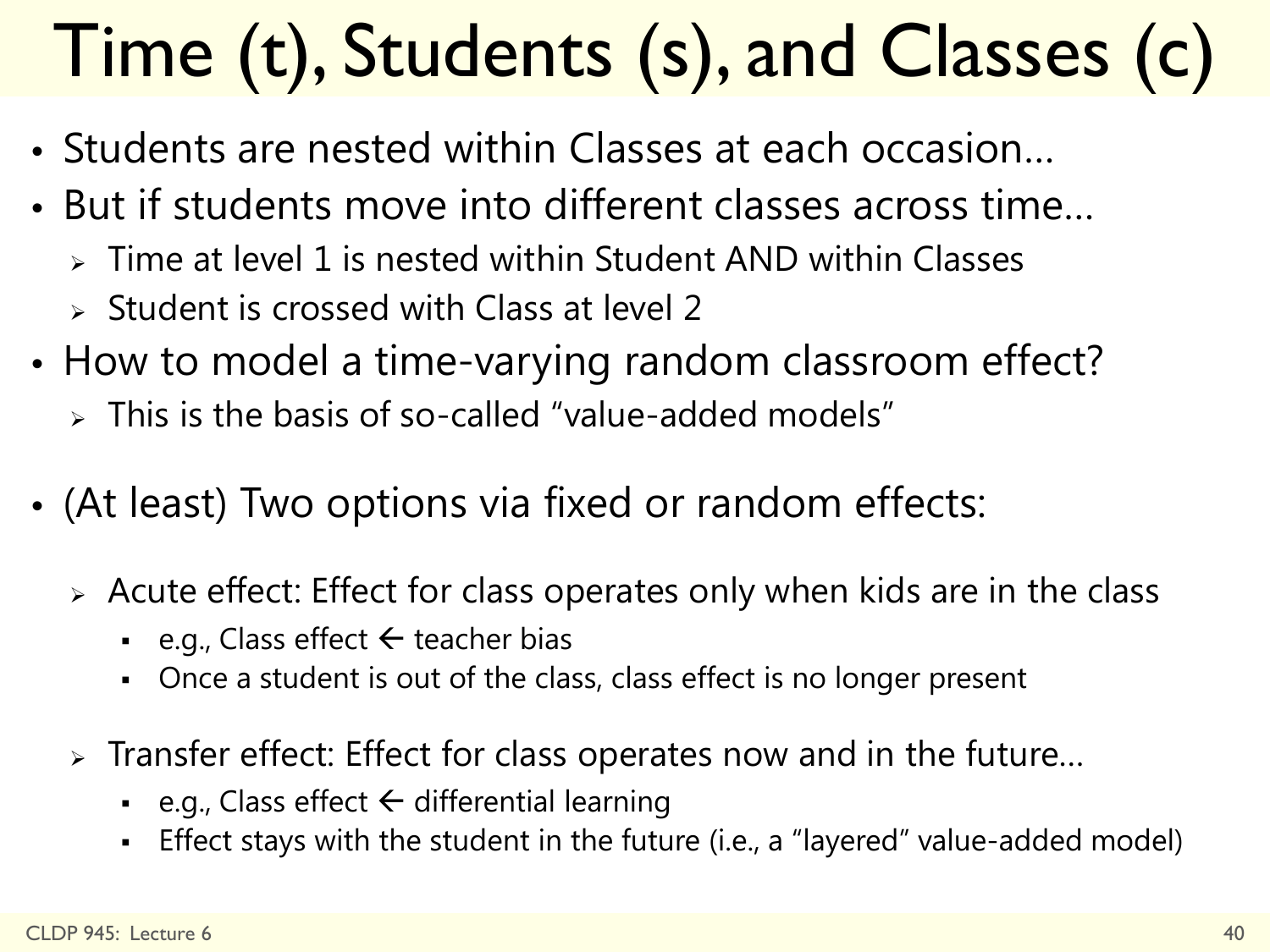# Time (t), Students (s), and Classes (c)

- Students are nested within Classes at each occasion…
- But if students move into different classes across time…
	- $\triangleright$  Time at level 1 is nested within Student AND within Classes
	- $\triangleright$  Student is crossed with Class at level 2
- How to model a time-varying random classroom effect?
	- $\triangleright$  This is the basis of so-called "value-added models"
- (At least) Two options via fixed or random effects:
	- Acute effect: Effect for class operates only when kids are in the class
		- e.g., Class effect  $\leftarrow$  teacher bias
		- Once a student is out of the class, class effect is no longer present
	- Transfer effect: Effect for class operates now and in the future…
		- e.g., Class effect  $\leftarrow$  differential learning
		- Effect stays with the student in the future (i.e., a "layered" value-added model)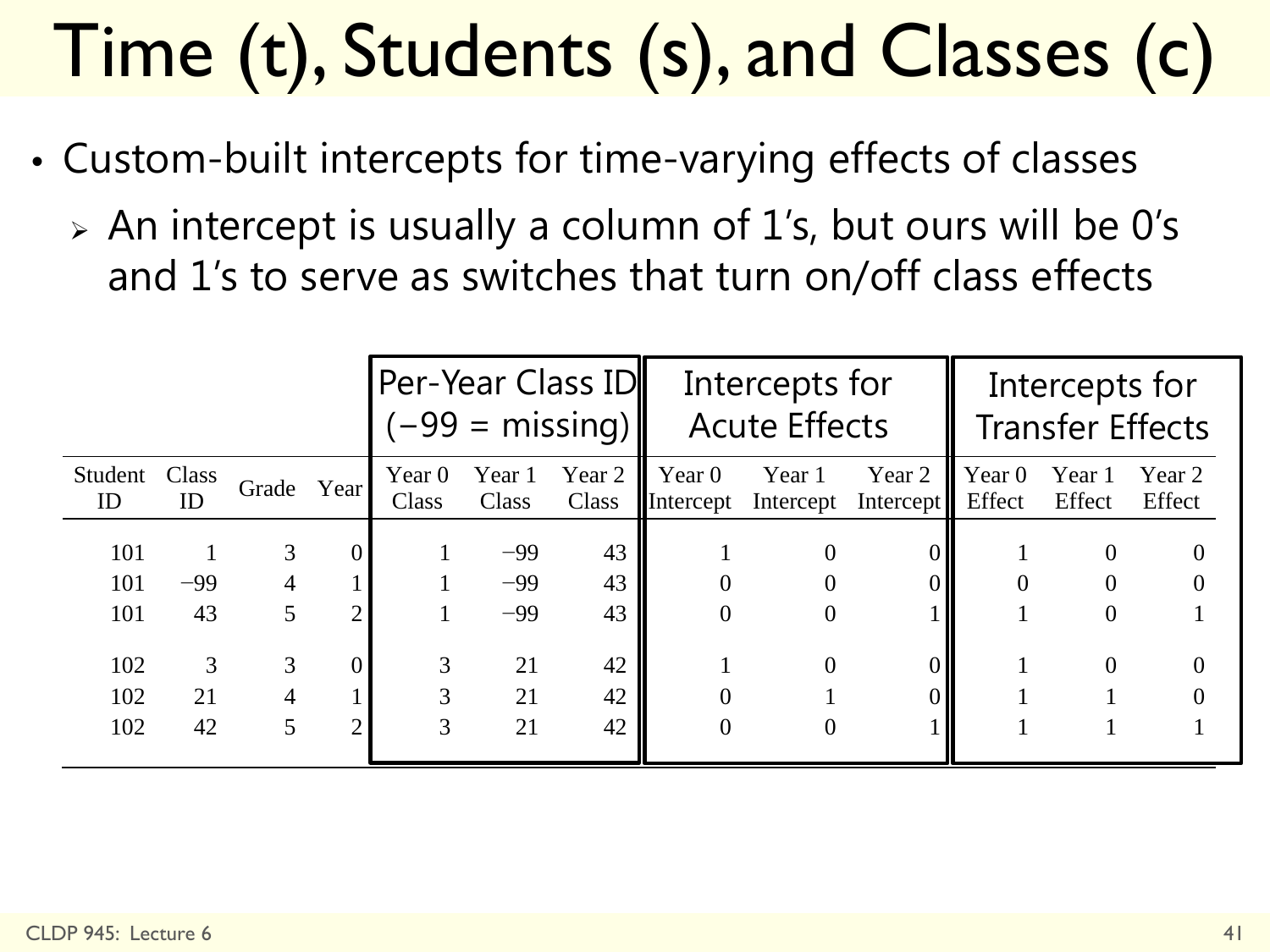# Time (t), Students (s), and Classes (c)

- Custom-built intercepts for time-varying effects of classes
	- An intercept is usually a column of 1's, but ours will be 0's and 1's to serve as switches that turn on/off class effects

|         |       |            |   | Per-Year Class ID<br>$(-99 = \text{missing})$ |        |        | Intercepts for<br><b>Acute Effects</b> |           |           | Intercepts for<br><b>Transfer Effects</b> |          |        |
|---------|-------|------------|---|-----------------------------------------------|--------|--------|----------------------------------------|-----------|-----------|-------------------------------------------|----------|--------|
| Student | Class | Grade Year |   | Year $0$                                      | Year 1 | Year 2 | Year $0$                               | Year 1    | Year 2    | Year $0$                                  | Year 1   | Year 2 |
| ID      | ID    |            |   | Class                                         | Class  | Class  | Intercept                              | Intercept | Intercept | Effect                                    | Effect   | Effect |
| 101     |       | 3          |   |                                               | $-99$  | 43     |                                        | $\theta$  |           |                                           | $\theta$ |        |
| 101     | $-99$ |            |   |                                               | $-99$  | 43     |                                        |           |           |                                           |          |        |
| 101     | 43    | 5          |   |                                               | $-99$  | 43     | $\theta$                               |           |           |                                           |          |        |
| 102     | 3     | 3          |   | 3                                             | 21     | 42     |                                        | $\Omega$  |           |                                           | $\Omega$ |        |
| 102     | 21    |            |   | 3                                             | 21     | 42     |                                        |           |           |                                           |          |        |
| 102     | 42    | 5          | ↑ | 3                                             | 21     | 42     |                                        |           |           |                                           |          |        |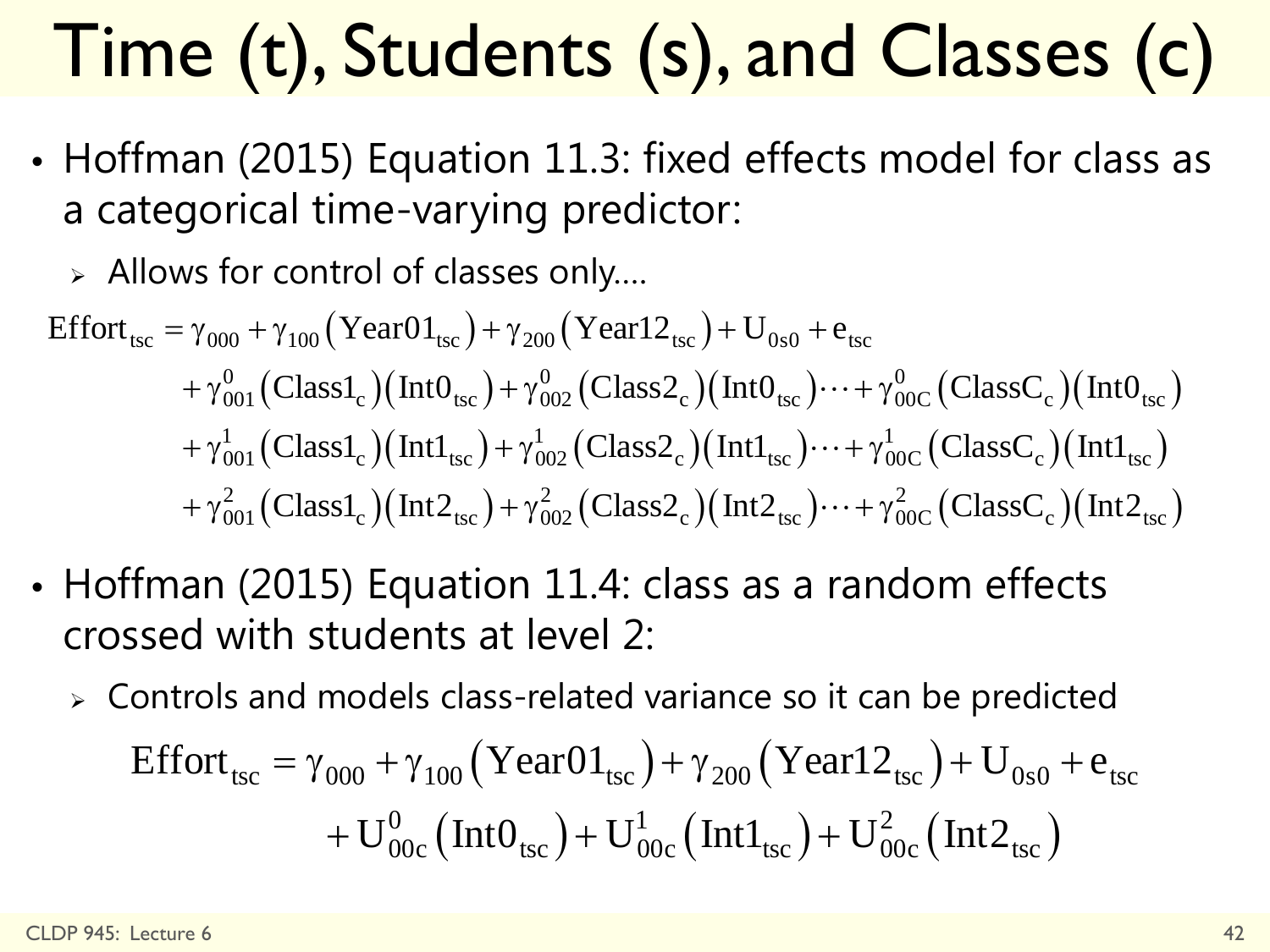# Time (t), Students (s), and Classes (c)

• Hoffman (2015) Equation 11.3: fixed effects model for class as a categorical time-varying predictor:

Allows for control of classes only….

$$
\begin{aligned}\n\text{Effort}_{\text{tsc}} &= \gamma_{000} + \gamma_{100} \left( \text{Year01}_{\text{tsc}} \right) + \gamma_{200} \left( \text{Year12}_{\text{tsc}} \right) + U_{0s0} + e_{\text{tsc}} \\
&\quad + \gamma_{001}^0 \left( \text{Class1}_c \right) \left( \text{Int0}_{\text{tsc}} \right) + \gamma_{002}^0 \left( \text{Class2}_c \right) \left( \text{Int0}_{\text{tsc}} \right) \cdots + \gamma_{00C}^0 \left( \text{ClassC}_c \right) \left( \text{Int0}_{\text{tsc}} \right) \\
&\quad + \gamma_{001}^1 \left( \text{Class1}_c \right) \left( \text{Int1}_{\text{tsc}} \right) + \gamma_{002}^1 \left( \text{Class2}_c \right) \left( \text{Int1}_{\text{tsc}} \right) \cdots + \gamma_{00C}^1 \left( \text{ClassC}_c \right) \left( \text{Int1}_{\text{tsc}} \right) \\
&\quad + \gamma_{001}^2 \left( \text{Class1}_c \right) \left( \text{Int2}_{\text{tsc}} \right) + \gamma_{002}^2 \left( \text{Class2}_c \right) \left( \text{Int2}_{\text{tsc}} \right) \cdots + \gamma_{00C}^2 \left( \text{ClassC}_c \right) \left( \text{Int2}_{\text{tsc}} \right)\n\end{aligned}
$$

- Hoffman (2015) Equation 11.4: class as a random effects crossed with students at level 2:
	- Controls and models class-related variance so it can be predicted Effort<sub>tsc</sub> =  $\gamma_{000} + \gamma_{100}$  (YearO1<sub>tsc</sub>) +  $\gamma_{200}$  (Year12<sub>tsc</sub>) + U<sub>0s0</sub> + e<sub>tsc</sub>  $\frac{0}{0.00}$  (IntO<sub>tsc</sub>) + U<sub>00c</sub> (Int1<sub>tsc</sub>) + U<sub>00c</sub> (Int2<sub>tsc</sub>)  $+ \rm{U}_{00c}^{0} \left( {\rm Int} \rm{O}_{tsc} \right) {+} \rm{U}_{00c}^{1} \left( {\rm Int} \rm{1}_{tsc} \right) {+} \rm{U}_{00c}^{2} \left( {\rm Int} \rm{2}_{tsc} \right)$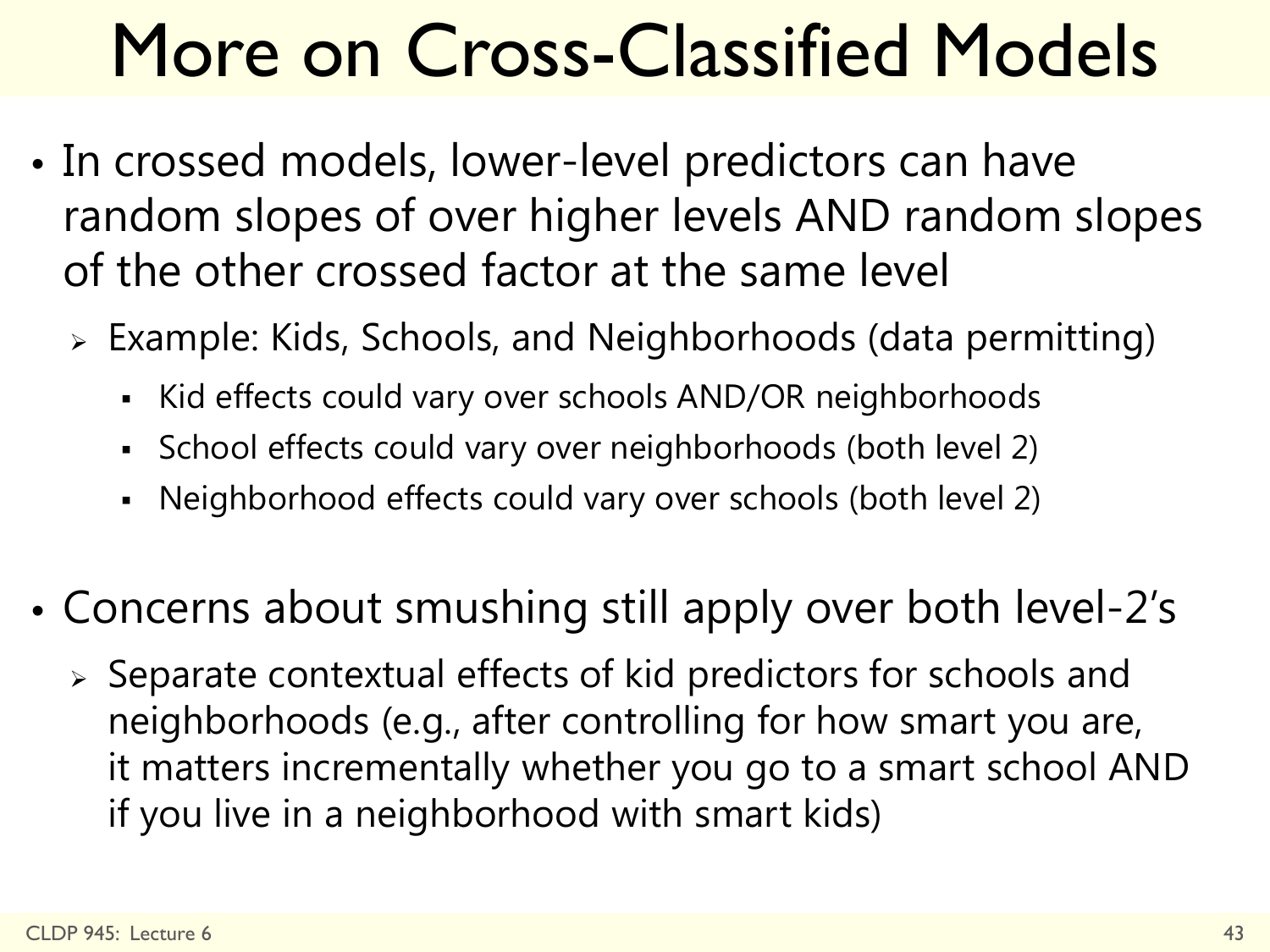# More on Cross-Classified Models

- In crossed models, lower-level predictors can have random slopes of over higher levels AND random slopes of the other crossed factor at the same level
	- Example: Kids, Schools, and Neighborhoods (data permitting)
		- Kid effects could vary over schools AND/OR neighborhoods
		- School effects could vary over neighborhoods (both level 2)
		- Neighborhood effects could vary over schools (both level 2)
- Concerns about smushing still apply over both level-2's
	- Separate contextual effects of kid predictors for schools and neighborhoods (e.g., after controlling for how smart you are, it matters incrementally whether you go to a smart school AND if you live in a neighborhood with smart kids)